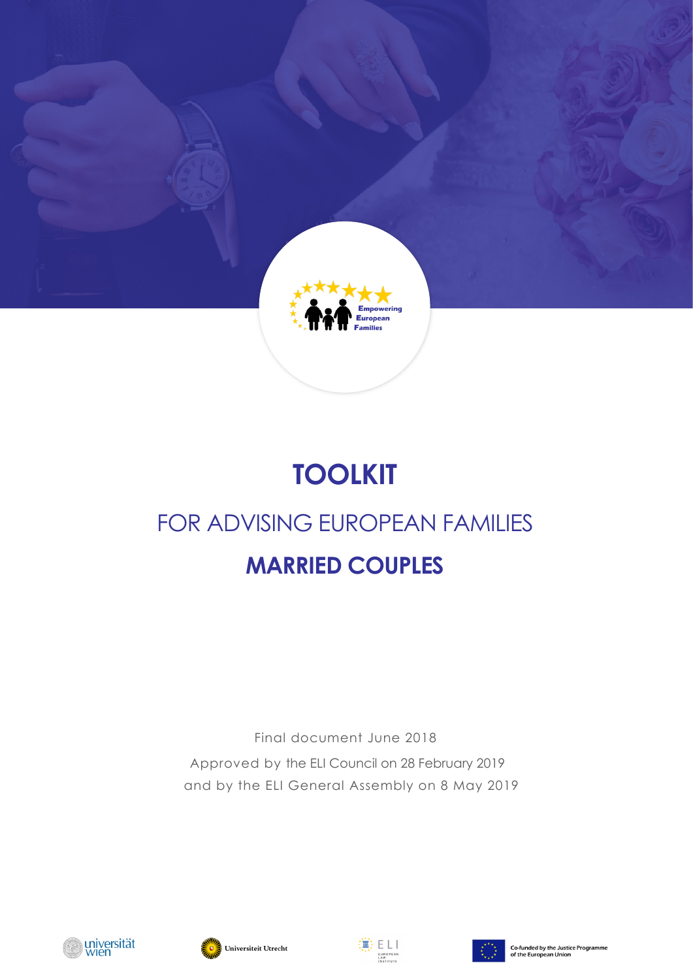

# **TOOLKIT**

# FOR ADVISING EUROPEAN FAMILIES **MARRIED COUPLES**

Final document June 2018 Approved by the ELI Council on 28 February 2019 and by the ELI General Assembly on 8 May 2019







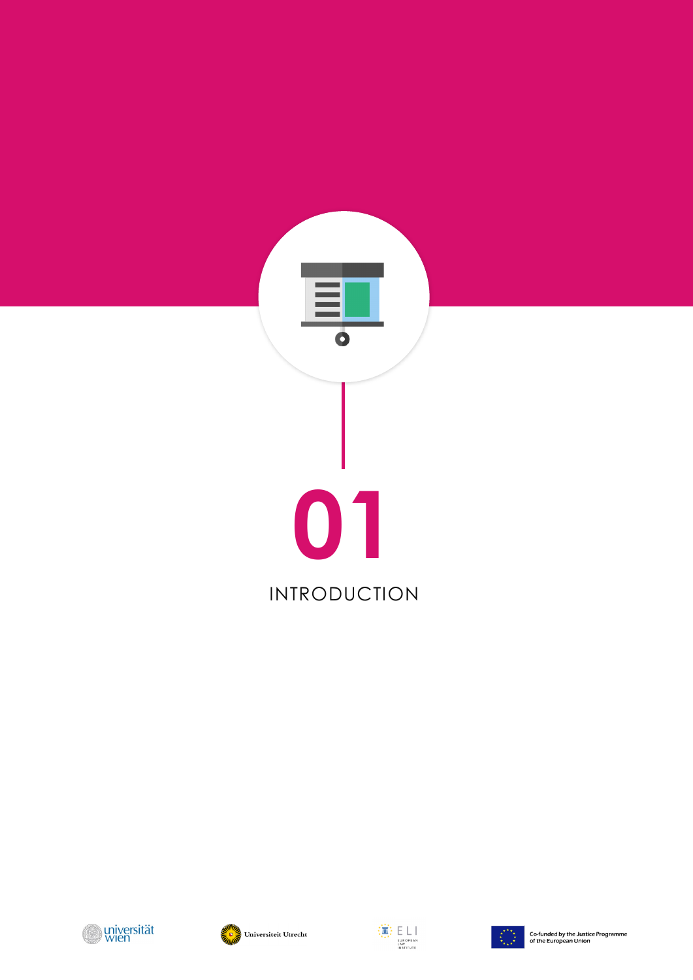







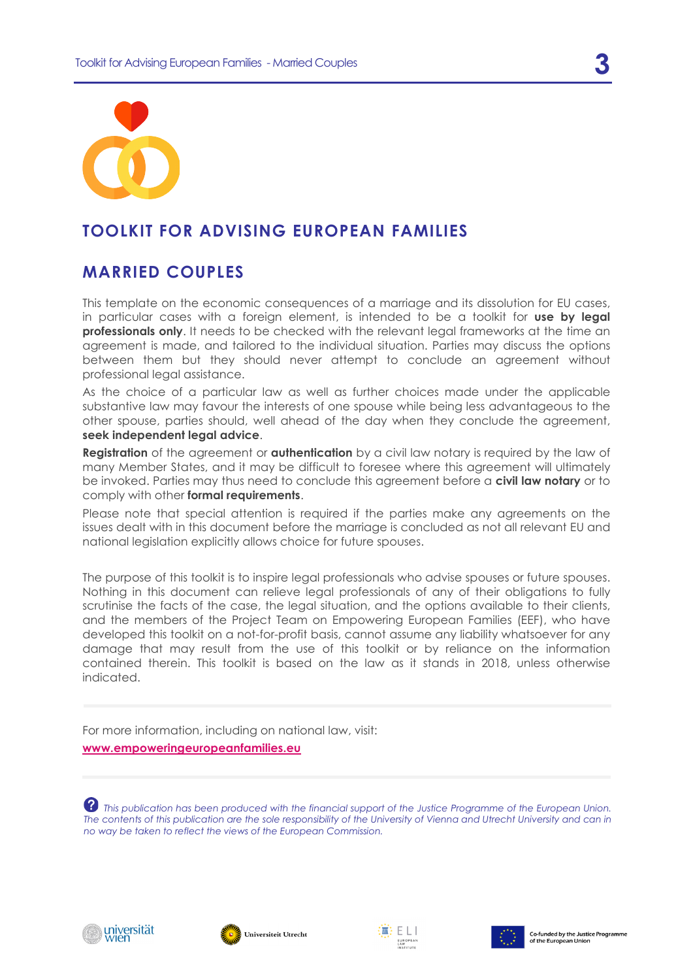



## **TOOLKIT FOR ADVISING EUROPEAN FAMILIES**

## **MARRIED COUPLES**

This template on the economic consequences of a marriage and its dissolution for EU cases, in particular cases with a foreign element, is intended to be a toolkit for **use by legal professionals only**. It needs to be checked with the relevant legal frameworks at the time an agreement is made, and tailored to the individual situation. Parties may discuss the options between them but they should never attempt to conclude an agreement without professional legal assistance.

As the choice of a particular law as well as further choices made under the applicable substantive law may favour the interests of one spouse while being less advantageous to the other spouse, parties should, well ahead of the day when they conclude the agreement, **seek independent legal advice**.

**Registration** of the agreement or **authentication** by a civil law notary is required by the law of many Member States, and it may be difficult to foresee where this agreement will ultimately be invoked. Parties may thus need to conclude this agreement before a **civil law notary** or to comply with other **formal requirements**.

Please note that special attention is required if the parties make any agreements on the issues dealt with in this document before the marriage is concluded as not all relevant EU and national legislation explicitly allows choice for future spouses.

The purpose of this toolkit is to inspire legal professionals who advise spouses or future spouses. Nothing in this document can relieve legal professionals of any of their obligations to fully scrutinise the facts of the case, the legal situation, and the options available to their clients, and the members of the Project Team on Empowering European Families (EEF), who have developed this toolkit on a not-for-profit basis, cannot assume any liability whatsoever for any damage that may result from the use of this toolkit or by reliance on the information contained therein. This toolkit is based on the law as it stands in 2018, unless otherwise indicated.

For more information, including on national law, visit: **[www.empoweringeuropeanfamilies.eu](http://www.empoweringeuropeanfamilies.eu/)**

 *This publication has been produced with the financial support of the Justice Programme of the European Union. The contents of this publication are the sole responsibility of the University of Vienna and Utrecht University and can in no way be taken to reflect the views of the European Commission.*







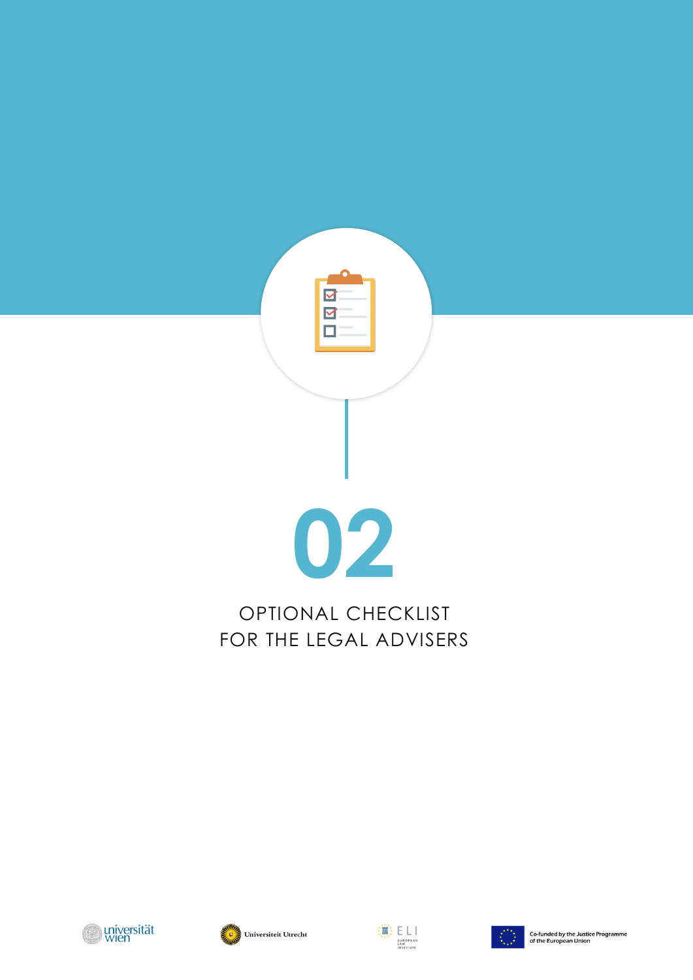

## OPTIONAL CHECKLIST FOR THE LEGAL ADVISERS







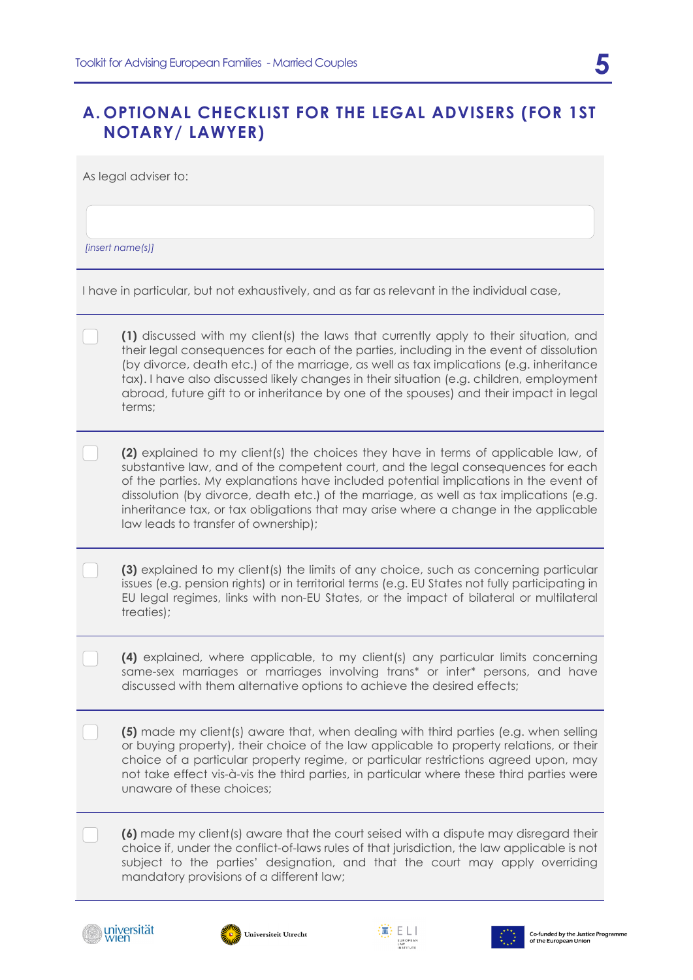## **A. OPTIONAL CHECKLIST FOR THE LEGAL ADVISERS (FOR 1ST NOTARY/ LAWYER)**

As legal adviser to:

*[insert name(s)]*

I have in particular, but not exhaustively, and as far as relevant in the individual case,

**(1)** discussed with my client(s) the laws that currently apply to their situation, and their legal consequences for each of the parties, including in the event of dissolution (by divorce, death etc.) of the marriage, as well as tax implications (e.g. inheritance tax). I have also discussed likely changes in their situation (e.g. children, employment abroad, future gift to or inheritance by one of the spouses) and their impact in legal terms;

**(2)** explained to my client(s) the choices they have in terms of applicable law, of substantive law, and of the competent court, and the legal consequences for each of the parties. My explanations have included potential implications in the event of dissolution (by divorce, death etc.) of the marriage, as well as tax implications (e.g. inheritance tax, or tax obligations that may arise where a change in the applicable law leads to transfer of ownership);

**(3)** explained to my client(s) the limits of any choice, such as concerning particular issues (e.g. pension rights) or in territorial terms (e.g. EU States not fully participating in EU legal regimes, links with non-EU States, or the impact of bilateral or multilateral treaties);

**(4)** explained, where applicable, to my client(s) any particular limits concerning same-sex marriages or marriages involving trans\* or inter\* persons, and have discussed with them alternative options to achieve the desired effects;

**(5)** made my client(s) aware that, when dealing with third parties (e.g. when selling or buying property), their choice of the law applicable to property relations, or their choice of a particular property regime, or particular restrictions agreed upon, may not take effect vis-à-vis the third parties, in particular where these third parties were unaware of these choices;

**(6)** made my client(s) aware that the court seised with a dispute may disregard their choice if, under the conflict-of-laws rules of that jurisdiction, the law applicable is not subject to the parties' designation, and that the court may apply overriding mandatory provisions of a different law;







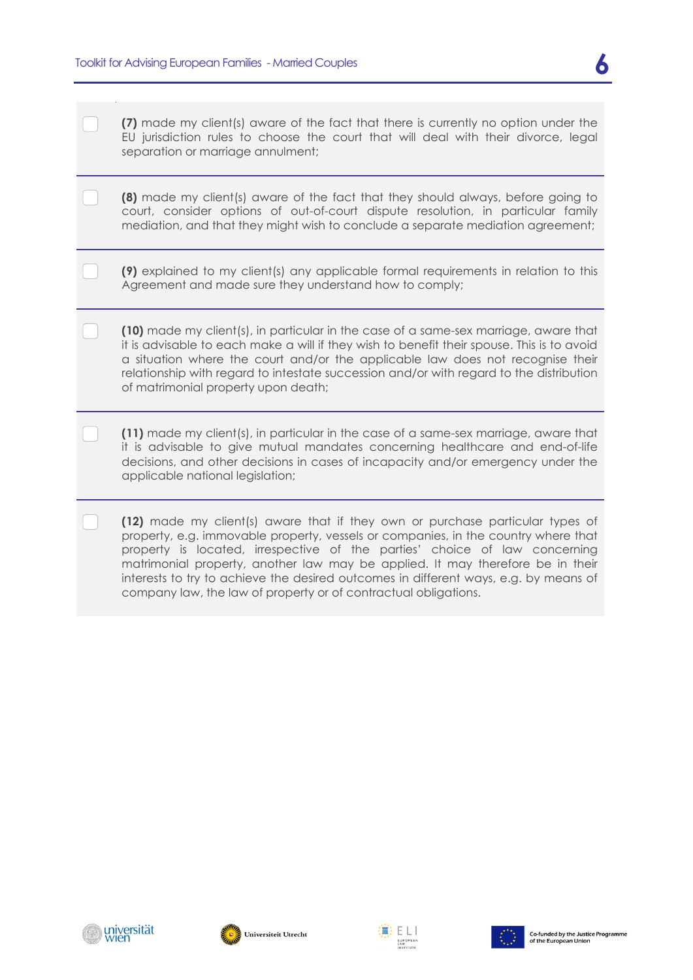**(7)** made my client(s) aware of the fact that there is currently no option under the EU jurisdiction rules to choose the court that will deal with their divorce, legal separation or marriage annulment;

**(8)** made my client(s) aware of the fact that they should always, before going to court, consider options of out-of-court dispute resolution, in particular family mediation, and that they might wish to conclude a separate mediation agreement;

**(9)** explained to my client(s) any applicable formal requirements in relation to this Agreement and made sure they understand how to comply;

**(10)** made my client(s), in particular in the case of a same-sex marriage, aware that it is advisable to each make a will if they wish to benefit their spouse. This is to avoid a situation where the court and/or the applicable law does not recognise their relationship with regard to intestate succession and/or with regard to the distribution of matrimonial property upon death;

**(11)** made my client(s), in particular in the case of a same-sex marriage, aware that it is advisable to give mutual mandates concerning healthcare and end-of-life decisions, and other decisions in cases of incapacity and/or emergency under the applicable national legislation;

**(12)** made my client(s) aware that if they own or purchase particular types of property, e.g. immovable property, vessels or companies, in the country where that property is located, irrespective of the parties' choice of law concerning matrimonial property, another law may be applied. It may therefore be in their interests to try to achieve the desired outcomes in different ways, e.g. by means of company law, the law of property or of contractual obligations.







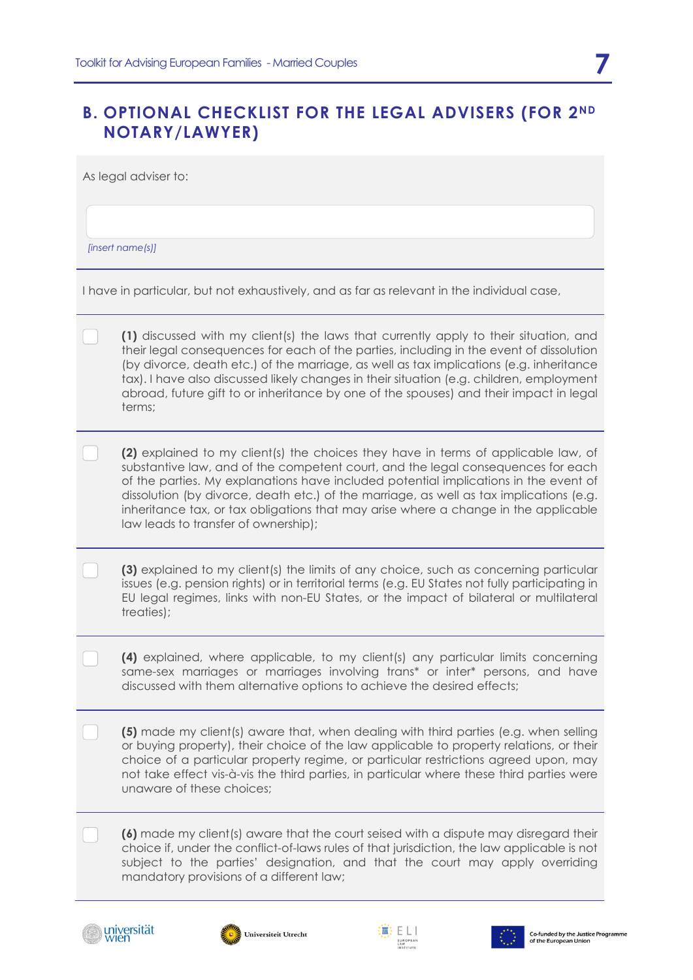## **B. OPTIONAL CHECKLIST FOR THE LEGAL ADVISERS (FOR 2ND NOTARY/LAWYER)**

As legal adviser to:

*[insert name(s)]*

I have in particular, but not exhaustively, and as far as relevant in the individual case,

**(1)** discussed with my client(s) the laws that currently apply to their situation, and their legal consequences for each of the parties, including in the event of dissolution (by divorce, death etc.) of the marriage, as well as tax implications (e.g. inheritance tax). I have also discussed likely changes in their situation (e.g. children, employment abroad, future gift to or inheritance by one of the spouses) and their impact in legal terms;

**(2)** explained to my client(s) the choices they have in terms of applicable law, of substantive law, and of the competent court, and the legal consequences for each of the parties. My explanations have included potential implications in the event of dissolution (by divorce, death etc.) of the marriage, as well as tax implications (e.g. inheritance tax, or tax obligations that may arise where a change in the applicable law leads to transfer of ownership);

**(3)** explained to my client(s) the limits of any choice, such as concerning particular issues (e.g. pension rights) or in territorial terms (e.g. EU States not fully participating in EU legal regimes, links with non-EU States, or the impact of bilateral or multilateral treaties);

**(4)** explained, where applicable, to my client(s) any particular limits concerning same-sex marriages or marriages involving trans\* or inter\* persons, and have discussed with them alternative options to achieve the desired effects;

**(5)** made my client(s) aware that, when dealing with third parties (e.g. when selling or buying property), their choice of the law applicable to property relations, or their choice of a particular property regime, or particular restrictions agreed upon, may not take effect vis-à-vis the third parties, in particular where these third parties were unaware of these choices;

**(6)** made my client(s) aware that the court seised with a dispute may disregard their choice if, under the conflict-of-laws rules of that jurisdiction, the law applicable is not subject to the parties' designation, and that the court may apply overriding mandatory provisions of a different law;







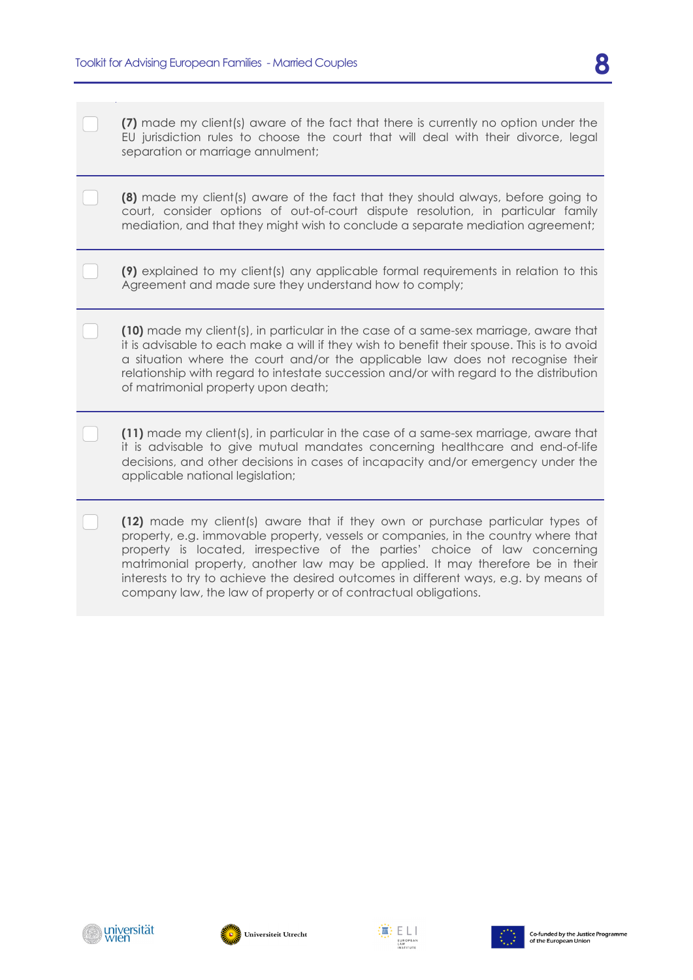**(7)** made my client(s) aware of the fact that there is currently no option under the EU jurisdiction rules to choose the court that will deal with their divorce, legal separation or marriage annulment;

|  |  |  |  |  | <b>(8)</b> made my client(s) aware of the fact that they should always, before going to |  |
|--|--|--|--|--|-----------------------------------------------------------------------------------------|--|
|  |  |  |  |  | court, consider options of out-of-court dispute resolution, in particular family        |  |
|  |  |  |  |  | mediation, and that they might wish to conclude a separate mediation agreement;         |  |

**(9)** explained to my client(s) any applicable formal requirements in relation to this Agreement and made sure they understand how to comply;

**(10)** made my client(s), in particular in the case of a same-sex marriage, aware that it is advisable to each make a will if they wish to benefit their spouse. This is to avoid a situation where the court and/or the applicable law does not recognise their relationship with regard to intestate succession and/or with regard to the distribution of matrimonial property upon death;

**(11)** made my client(s), in particular in the case of a same-sex marriage, aware that it is advisable to give mutual mandates concerning healthcare and end-of-life decisions, and other decisions in cases of incapacity and/or emergency under the applicable national legislation;

**(12)** made my client(s) aware that if they own or purchase particular types of property, e.g. immovable property, vessels or companies, in the country where that property is located, irrespective of the parties' choice of law concerning matrimonial property, another law may be applied. It may therefore be in their interests to try to achieve the desired outcomes in different ways, e.g. by means of company law, the law of property or of contractual obligations.







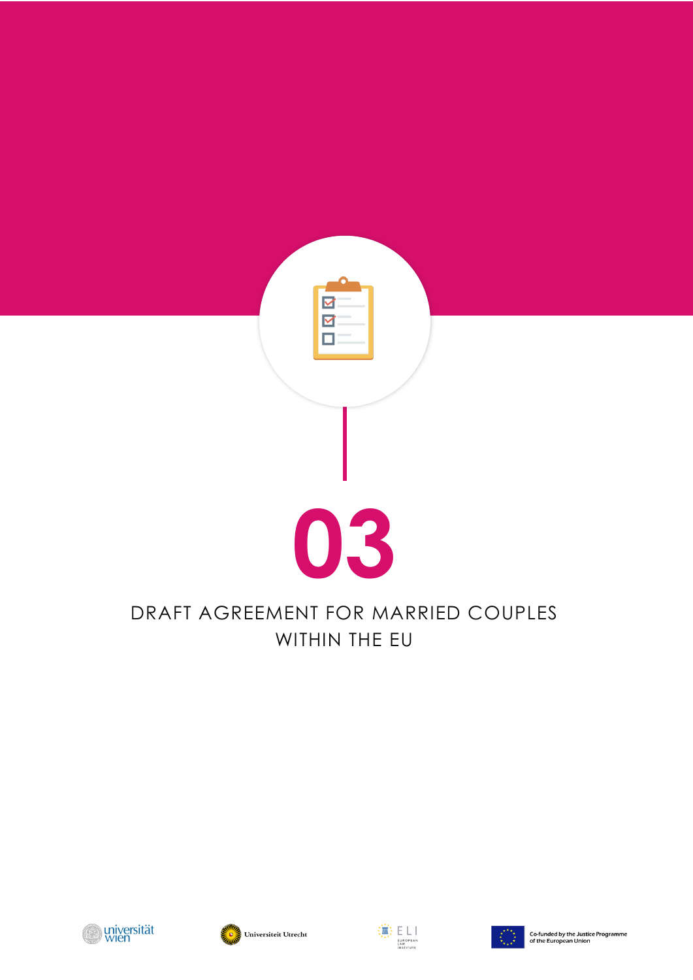

## DRAFT AGREEMENT FOR MARRIED COUPLES WITHIN THE EU







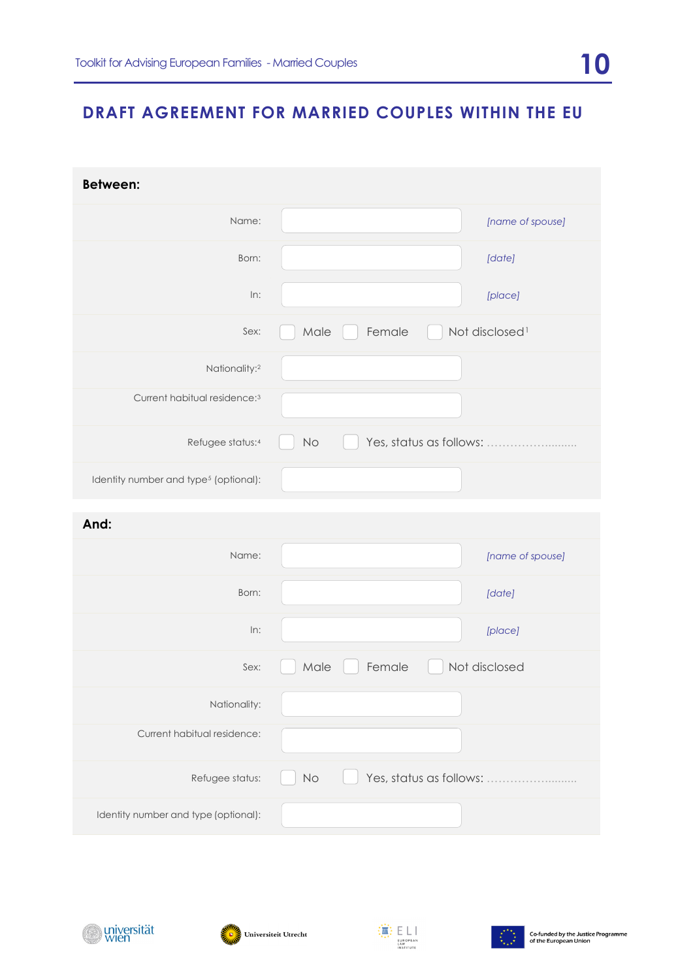## **DRAFT AGREEMENT FOR MARRIED COUPLES WITHIN THE EU**

| <b>Between:</b>                                   |          |                         |                            |
|---------------------------------------------------|----------|-------------------------|----------------------------|
| Name:                                             |          |                         | [name of spouse]           |
| Born:                                             |          |                         | [date]                     |
| In:                                               |          |                         | [place]                    |
| Sex:                                              | Male     | Female                  | Not disclosed <sup>1</sup> |
| Nationality: <sup>2</sup>                         |          |                         |                            |
| Current habitual residence: <sup>3</sup>          |          |                         |                            |
| Refugee status:4                                  | No       | Yes, status as follows: |                            |
| Identity number and type <sup>5</sup> (optional): |          |                         |                            |
| And:                                              |          |                         |                            |
| Name:                                             |          |                         | [name of spouse]           |
| Born:                                             |          |                         | [date]                     |
| In:                                               |          |                         | [place]                    |
| Sex:                                              | Male     | Female                  | Not disclosed              |
| Nationality:                                      |          |                         |                            |
| Current habitual residence:                       |          |                         |                            |
| Refugee status:                                   | $\rm No$ | Yes, status as follows: |                            |
| Identity number and type (optional):              |          |                         |                            |







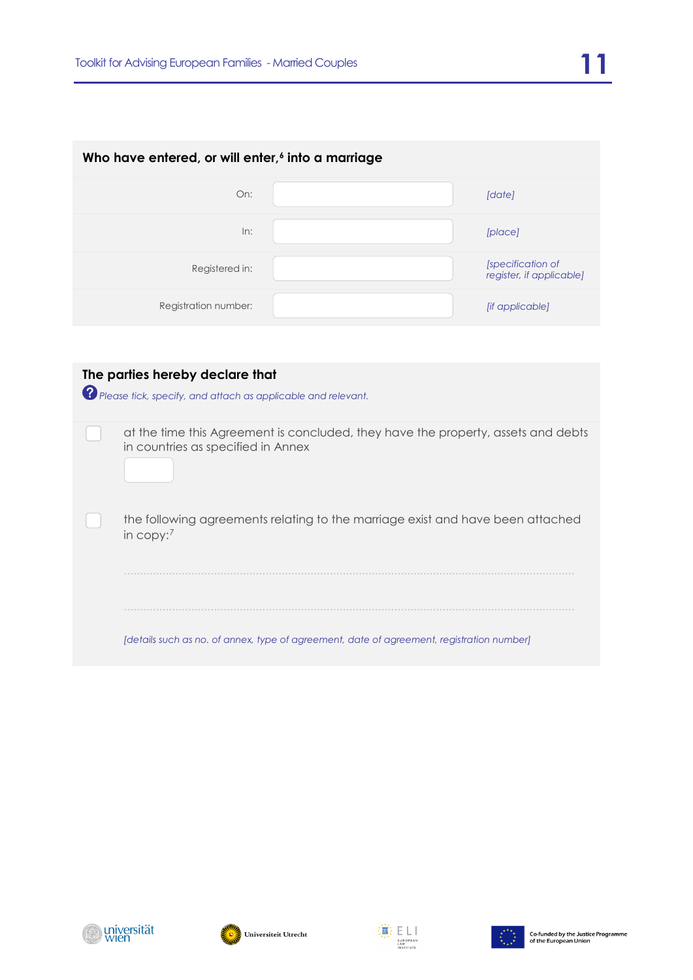| Who have entered, or will enter, <sup>6</sup> into a marriage |  |                                               |  |  |  |  |
|---------------------------------------------------------------|--|-----------------------------------------------|--|--|--|--|
| On:                                                           |  | [date]                                        |  |  |  |  |
| In:                                                           |  | [place]                                       |  |  |  |  |
| Registered in:                                                |  | [specification of<br>register, if applicable] |  |  |  |  |
| Registration number:                                          |  | [if applicable]                               |  |  |  |  |
|                                                               |  |                                               |  |  |  |  |

| The parties hereby declare that<br>? Please tick, specify, and attach as applicable and relevant.                       |
|-------------------------------------------------------------------------------------------------------------------------|
| at the time this Agreement is concluded, they have the property, assets and debts<br>in countries as specified in Annex |
| the following agreements relating to the marriage exist and have been attached<br>in copy: $7$                          |
|                                                                                                                         |
| [details such as no. of annex, type of agreement, date of agreement, registration number]                               |





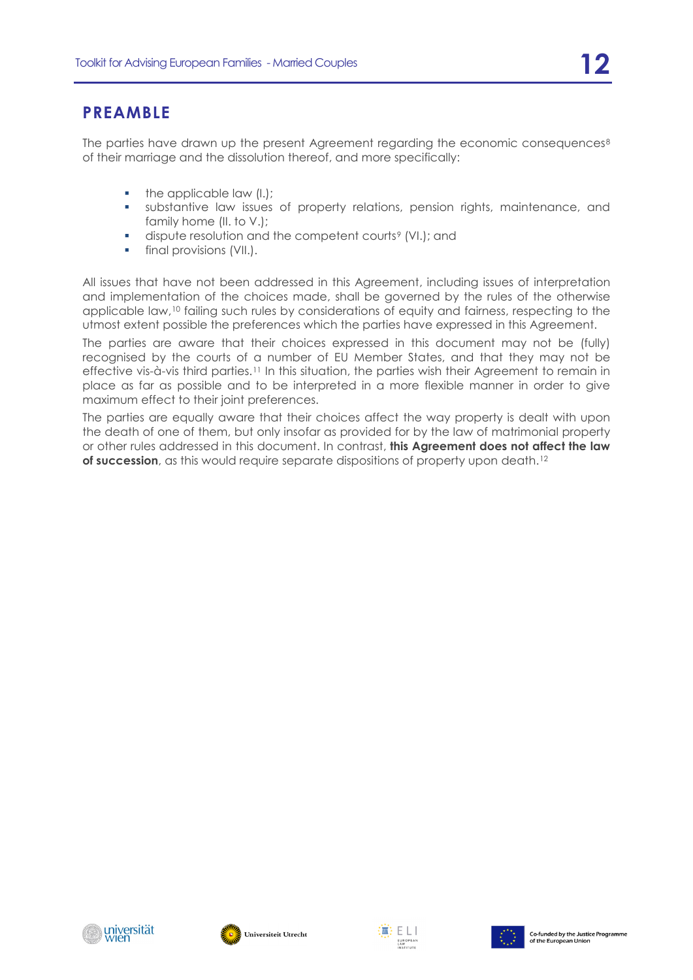## **PREAMBLE**

The parties have drawn up the present Agreement regarding the economic consequences $8$ of their marriage and the dissolution thereof, and more specifically:

- $\blacksquare$  the applicable law  $(l.);$
- substantive law issues of property relations, pension rights, maintenance, and family home (II. to V.);
- **dispute resolution and the competent courts<sup>[9](#page-19-8)</sup> (VI.); and**
- <span id="page-11-1"></span>**final provisions (VII.).**

All issues that have not been addressed in this Agreement, including issues of interpretation and implementation of the choices made, shall be governed by the rules of the otherwise applicable law,<sup>[10](#page-20-0)</sup> failing such rules by considerations of equity and fairness, respecting to the utmost extent possible the preferences which the parties have expressed in this Agreement.

<span id="page-11-0"></span>The parties are aware that their choices expressed in this document may not be (fully) recognised by the courts of a number of EU Member States, and that they may not be effective vis-à-vis third parties.[11](#page-20-1) In this situation, the parties wish their Agreement to remain in place as far as possible and to be interpreted in a more flexible manner in order to give maximum effect to their joint preferences.

The parties are equally aware that their choices affect the way property is dealt with upon the death of one of them, but only insofar as provided for by the law of matrimonial property or other rules addressed in this document. In contrast, **this Agreement does not affect the law of succession**, as this would require separate dispositions of property upon death.<sup>[12](#page-20-2)</sup>







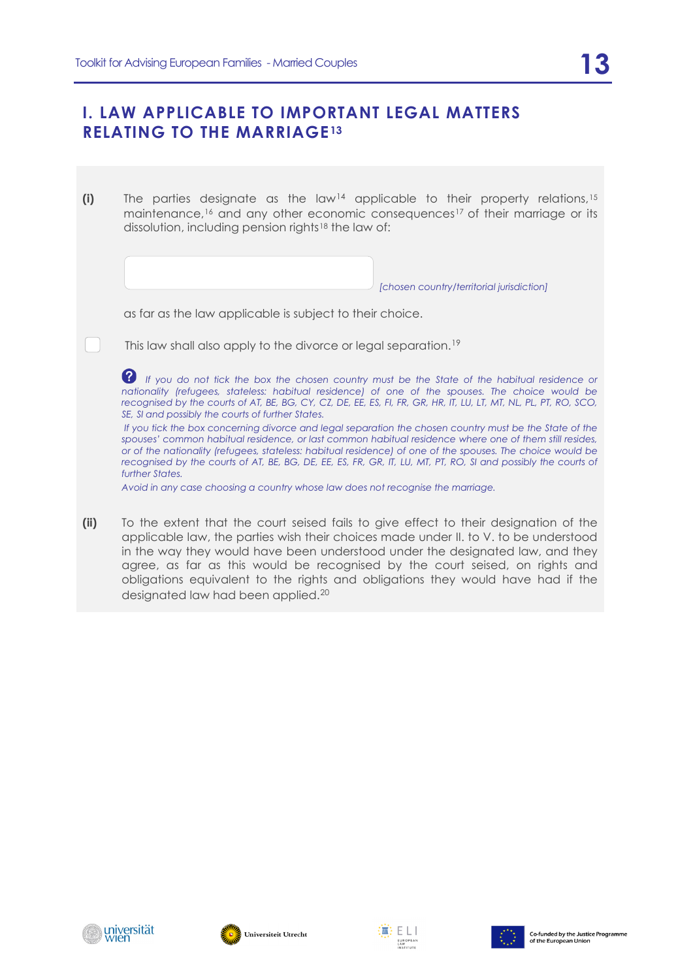## **I. LAW APPLICABLE TO IMPORTANT LEGAL MATTERS RELATING TO THE MARRIAGE<sup>[13](#page-20-3)</sup>**

**(i)** The parties designate as the law<sup>[14](#page-20-4)</sup> applicable to their property relations,<sup>[15](#page-20-5)</sup> maintenance,[16](#page-21-0) and any other economic consequences[17](#page-21-1) of their marriage or its dissolution, including pension rights[18](#page-21-2) the law of:

<span id="page-12-0"></span>*[chosen country/territorial jurisdiction]*

as far as the law applicable is subject to their choice.

This law shall also apply to the divorce or legal separation.[19](#page-21-3)

*If you do not tick the box the chosen country must be the State of the habitual residence or nationality (refugees, stateless: habitual residence) of one of the spouses. The choice would be recognised by the courts of AT, BE, BG, CY, CZ, DE, EE, ES, FI, FR, GR, HR, IT, LU, LT, MT, NL, PL, PT, RO, SCO, SE, SI and possibly the courts of further States.*

*If you tick the box concerning divorce and legal separation the chosen country must be the State of the spouses' common habitual residence, or last common habitual residence where one of them still resides, or of the nationality (refugees, stateless: habitual residence) of one of the spouses. The choice would be recognised by the courts of AT, BE, BG, DE, EE, ES, FR, GR, IT, LU, MT, PT, RO, SI and possibly the courts of further States.*

*Avoid in any case choosing a country whose law does not recognise the marriage.*

**(ii)** To the extent that the court seised fails to give effect to their designation of the applicable law, the parties wish their choices made under II. to V. to be understood in the way they would have been understood under the designated law, and they agree, as far as this would be recognised by the court seised, on rights and obligations equivalent to the rights and obligations they would have had if the designated law had been applied.[20](#page-22-0)



 $\begin{bmatrix} 1 & 1 \end{bmatrix}$ 





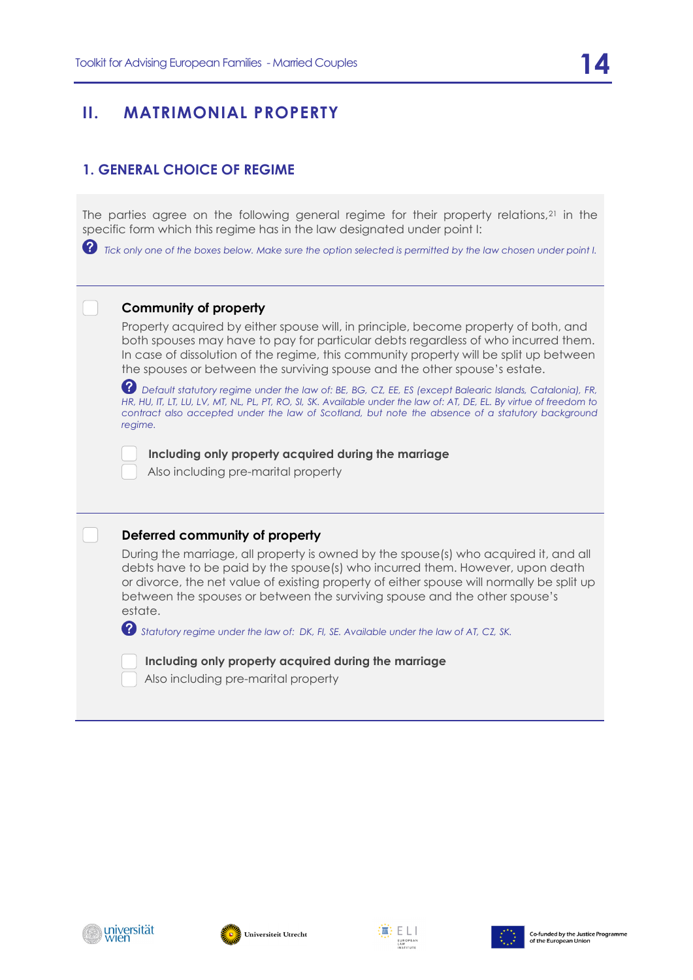#### **1. GENERAL CHOICE OF REGIME**

The parties agree on the following general regime for their property relations,<sup>[21](#page-22-1)</sup> in the specific form which this regime has in the law designated under point I:

 *Tick only one of the boxes below. Make sure the option selected is permitted by the law chosen under point I.*

#### **Community of property**

Property acquired by either spouse will, in principle, become property of both, and both spouses may have to pay for particular debts regardless of who incurred them. In case of dissolution of the regime, this community property will be split up between the spouses or between the surviving spouse and the other spouse's estate.

 *Default statutory regime under the law of: BE, BG, CZ, EE, ES (except Balearic Islands, Catalonia), FR, HR, HU, IT, LT, LU, LV, MT, NL, PL, PT, RO, SI, SK. Available under the law of: AT, DE, EL. By virtue of freedom to*  contract also accepted under the law of Scotland, but note the absence of a statutory background *regime.*

 **Including only property acquired during the marriage**

Also including pre-marital property

#### **Deferred community of property**

During the marriage, all property is owned by the spouse(s) who acquired it, and all debts have to be paid by the spouse(s) who incurred them. However, upon death or divorce, the net value of existing property of either spouse will normally be split up between the spouses or between the surviving spouse and the other spouse's estate.

 *Statutory regime under the law of: DK, FI, SE. Available under the law of AT, CZ, SK.* 

 **Including only property acquired during the marriage**

Also including pre-marital property







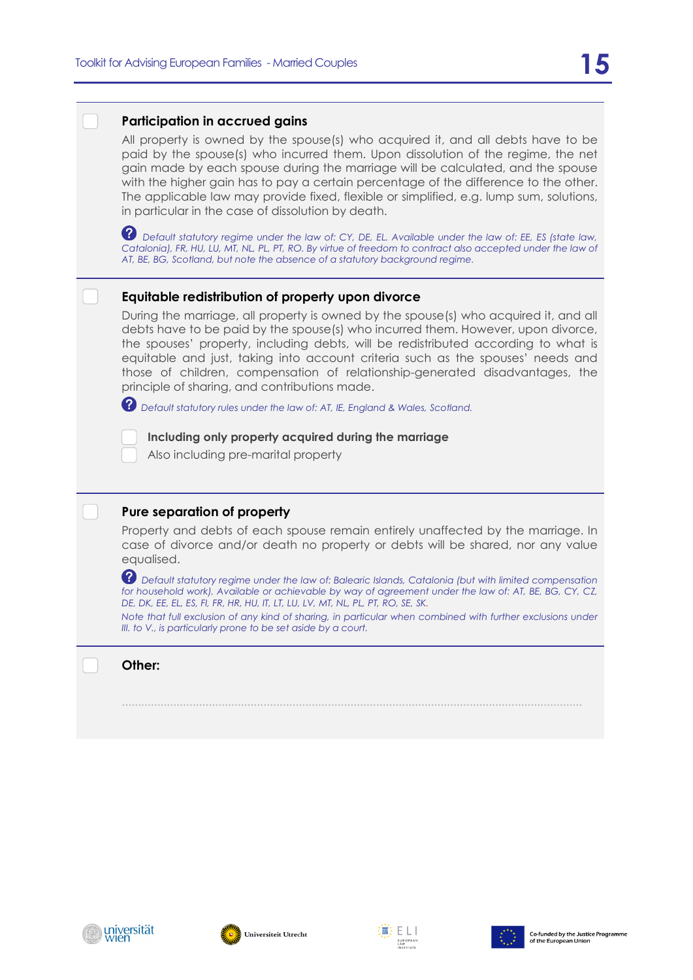#### **Participation in accrued gains**

All property is owned by the spouse(s) who acquired it, and all debts have to be paid by the spouse(s) who incurred them. Upon dissolution of the regime, the net gain made by each spouse during the marriage will be calculated, and the spouse with the higher gain has to pay a certain percentage of the difference to the other. The applicable law may provide fixed, flexible or simplified, e.g. lump sum, solutions, in particular in the case of dissolution by death.

*Default statutory regime under the law of: CY, DE, EL. Available under the law of: EE, ES (state law, Catalonia), FR, HU, LU, MT, NL, PL, PT, RO. By virtue of freedom to contract also accepted under the law of AT, BE, BG, Scotland, but note the absence of a statutory background regime.*

#### **Equitable redistribution of property upon divorce**

During the marriage, all property is owned by the spouse(s) who acquired it, and all debts have to be paid by the spouse(s) who incurred them. However, upon divorce, the spouses' property, including debts, will be redistributed according to what is equitable and just, taking into account criteria such as the spouses' needs and those of children, compensation of relationship-generated disadvantages, the principle of sharing, and contributions made.

*Default statutory rules under the law of: AT, IE, England & Wales, Scotland.* 

 **Including only property acquired during the marriage**

Also including pre-marital property

#### **Pure separation of property**

Property and debts of each spouse remain entirely unaffected by the marriage. In case of divorce and/or death no property or debts will be shared, nor any value equalised.

 $\,$  Default statutory regime under the law of: Balearic Islands, Catalonia (but with limited compensation *for household work). Available or achievable by way of agreement under the law of: AT, BE, BG, CY, CZ, DE, DK, EE, EL, ES, FI, FR, HR, HU, IT, LT, LU, LV, MT, NL, PL, PT, RO, SE, SK.* 

*Note that full exclusion of any kind of sharing, in particular when combined with further exclusions under III. to V., is particularly prone to be set aside by a court.* 

...............................................................................................................................................

**Other:** 







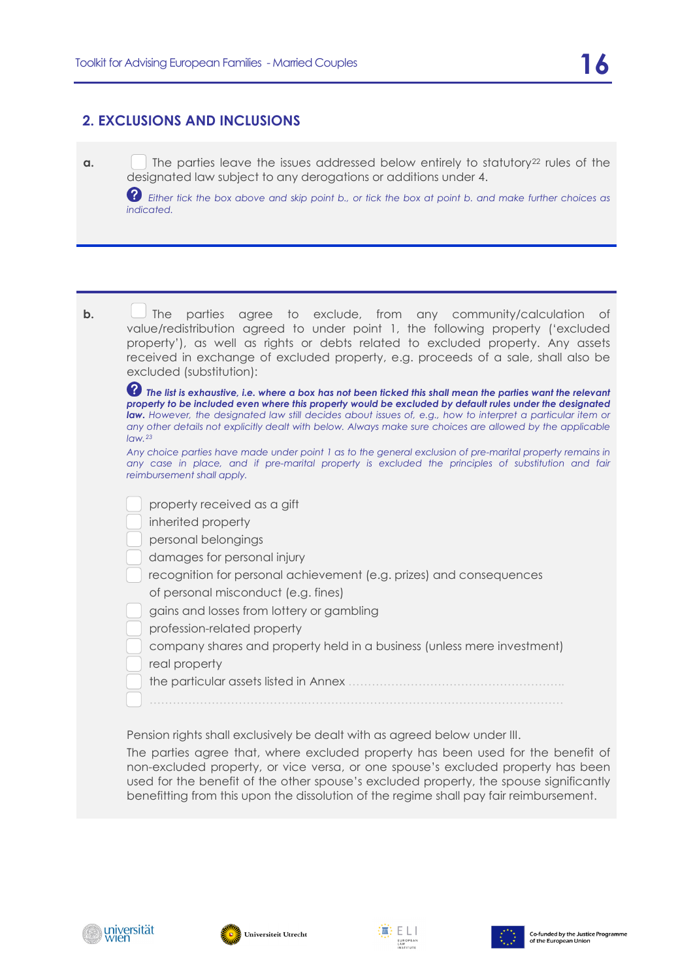#### **2. EXCLUSIONS AND INCLUSIONS**

**a. I** The parties leave the issues addressed below entirely to statutory<sup>[22](#page-22-2)</sup> rules of the designated law subject to any derogations or additions under 4.

 *Either tick the box above and skip point b., or tick the box at point b. and make further choices as indicated.*

| b. | parties agree to exclude, from any community/calculation<br><b>The</b><br>of<br>value/redistribution agreed to under point 1, the following property ('excluded<br>property'), as well as rights or debts related to excluded property. Any assets<br>received in exchange of excluded property, e.g. proceeds of a sale, shall also be<br>excluded (substitution):                                                                                                     |
|----|-------------------------------------------------------------------------------------------------------------------------------------------------------------------------------------------------------------------------------------------------------------------------------------------------------------------------------------------------------------------------------------------------------------------------------------------------------------------------|
|    | 2<br>The list is exhaustive, i.e. where a box has not been ticked this shall mean the parties want the relevant<br>property to be included even where this property would be excluded by default rules under the designated<br>law. However, the designated law still decides about issues of, e.g., how to interpret a particular item or<br>any other details not explicitly dealt with below. Always make sure choices are allowed by the applicable<br>$I$ aw. $23$ |
|    | Any choice parties have made under point 1 as to the general exclusion of pre-marital property remains in<br>any case in place, and if pre-marital property is excluded the principles of substitution and fair<br>reimbursement shall apply.                                                                                                                                                                                                                           |
|    | property received as a gift<br>inherited property<br>personal belongings<br>damages for personal injury<br>recognition for personal achievement (e.g. prizes) and consequences<br>of personal misconduct (e.g. fines)<br>gains and losses from lottery or gambling<br>profession-related property<br>company shares and property held in a business (unless mere investment)<br>real property                                                                           |
|    | Pension rights shall exclusively be dealt with as agreed below under III.<br>The parties agree that, where excluded property has been used for the benefit of<br>non-excluded property, or vice versa, or one spouse's excluded property has been<br>used for the benefit of the other spouse's excluded property, the spouse significantly                                                                                                                             |

benefitting from this upon the dissolution of the regime shall pay fair reimbursement.







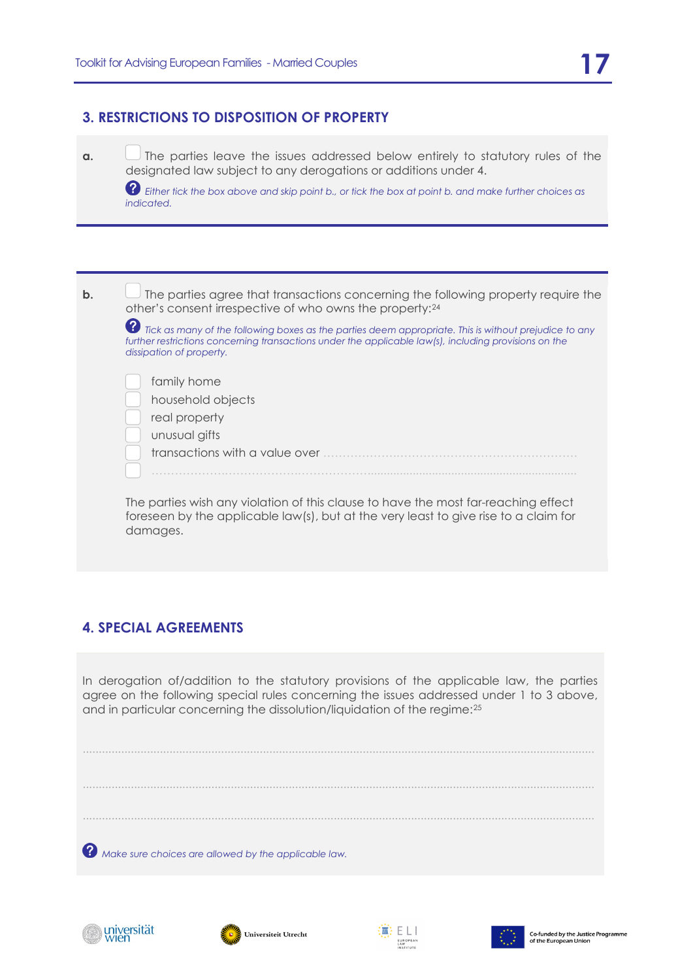#### **3. RESTRICTIONS TO DISPOSITION OF PROPERTY**

**a.**  $\Box$  The parties leave the issues addressed below entirely to statutory rules of the designated law subject to any derogations or additions under 4.

 *Either tick the box above and skip point b., or tick the box at point b. and make further choices as indicated.*

| $\mathbf b$ . | The parties agree that transactions concerning the following property require the<br>other's consent irrespective of who owns the property: <sup>24</sup>                                                                                       |
|---------------|-------------------------------------------------------------------------------------------------------------------------------------------------------------------------------------------------------------------------------------------------|
|               | Ø<br>Tick as many of the following boxes as the parties deem appropriate. This is without prejudice to any<br>further restrictions concerning transactions under the applicable law(s), including provisions on the<br>dissipation of property. |
|               | family home<br>household objects<br>real property<br>unusual gifts<br>transactions with a value over                                                                                                                                            |
|               | The parties wish any violation of this clause to have the most far-reaching effect<br>foreseen by the applicable law(s), but at the very least to give rise to a claim for<br>damages.                                                          |

#### **4. SPECIAL AGREEMENTS**

In derogation of/addition to the statutory provisions of the applicable law, the parties agree on the following special rules concerning the issues addressed under 1 to 3 above, and in particular concerning the dissolution/liquidation of the regime:[25](#page-22-5)

............................................................................................................................................................... ............................................................................................................................................................... ...............................................................................................................................................................  *Make sure choices are allowed by the applicable law.*







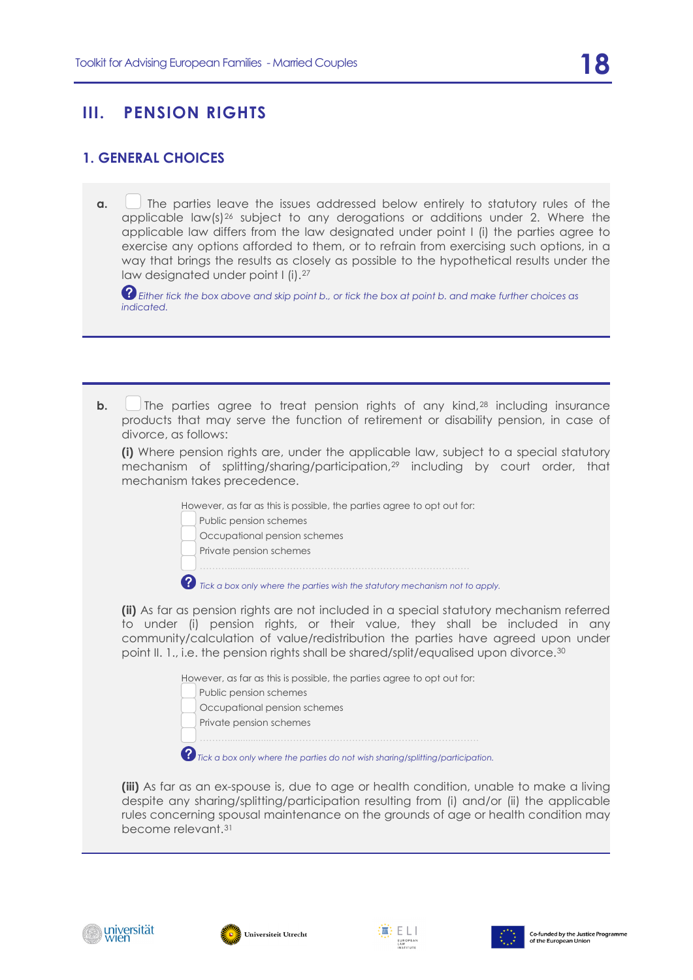## **III. PENSION RIGHTS**

#### **1. GENERAL CHOICES**

**a.** The parties leave the issues addressed below entirely to statutory rules of the applicable  $\text{law}(s)$ <sup>[26](#page-22-6)</sup> subject to any derogations or additions under 2. Where the applicable law differs from the law designated under point I (i) the parties agree to exercise any options afforded to them, or to refrain from exercising such options, in a way that brings the results as closely as possible to the hypothetical results under the law designated under point I (i).[27](#page-22-7)

*Either tick the box above and skip point b., or tick the box at point b. and make further choices as indicated.*

**b.** The parties agree to treat pension rights of any kind,<sup>[28](#page-23-0)</sup> including insurance products that may serve the function of retirement or disability pension, in case of divorce, as follows:

**(i)** Where pension rights are, under the applicable law, subject to a special statutory mechanism of splitting/sharing/participation,[29](#page-23-1) including by court order, that mechanism takes precedence.

However, as far as this is possible, the parties agree to opt out for:

Public pension schemes

Occupational pension schemes

Private pension schemes

……….................……………………………………………………….

 $\bullet$  Tick a box only where the parties wish the statutory mechanism not to apply.

**(ii)** As far as pension rights are not included in a special statutory mechanism referred to under (i) pension rights, or their value, they shall be included in any community/calculation of value/redistribution the parties have agreed upon under point II. 1., i.e. the pension rights shall be shared/split/equalised upon divorce.[30](#page-23-2)

However, as far as this is possible, the parties agree to opt out for:

 Public pension schemes Occupational pension schemes Private pension schemes ……….................…………………………………………………………. *Tick a box only where the parties do not wish sharing/splitting/participation.*

**(iii)** As far as an ex-spouse is, due to age or health condition, unable to make a living despite any sharing/splitting/participation resulting from (i) and/or (ii) the applicable rules concerning spousal maintenance on the grounds of age or health condition may become relevant.[31](#page-23-3)







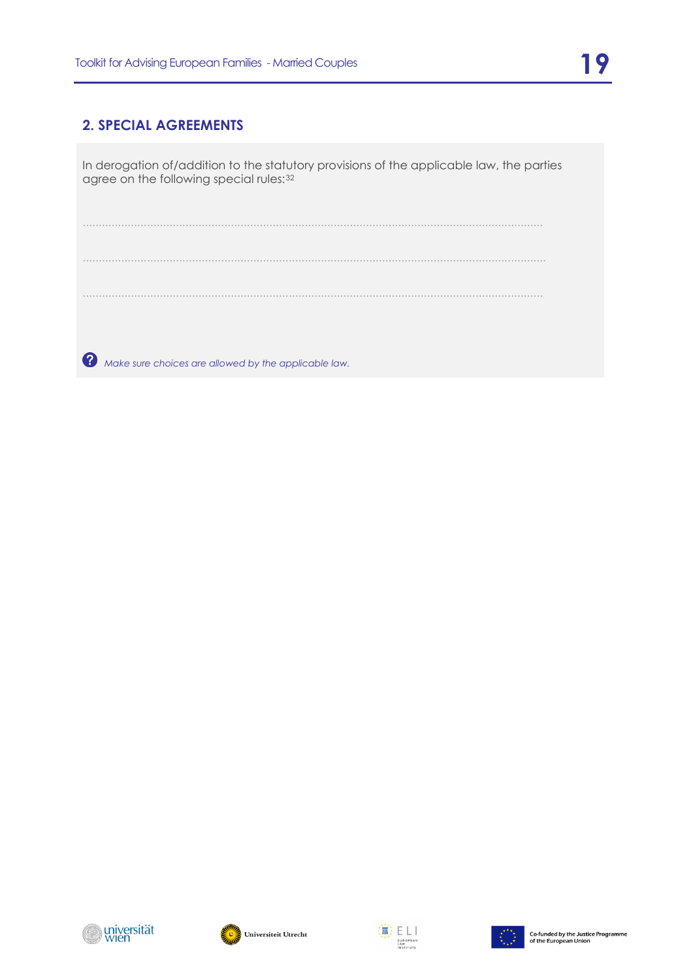#### **2. SPECIAL AGREEMENTS**

In derogation of/addition to the statutory provisions of the applicable law, the parties agree on the following special rules: [32](#page-23-4)

............................................................................................................................................... ................................................................................................................................................ ...............................................................................................................................................

 *Make sure choices are allowed by the applicable law.*







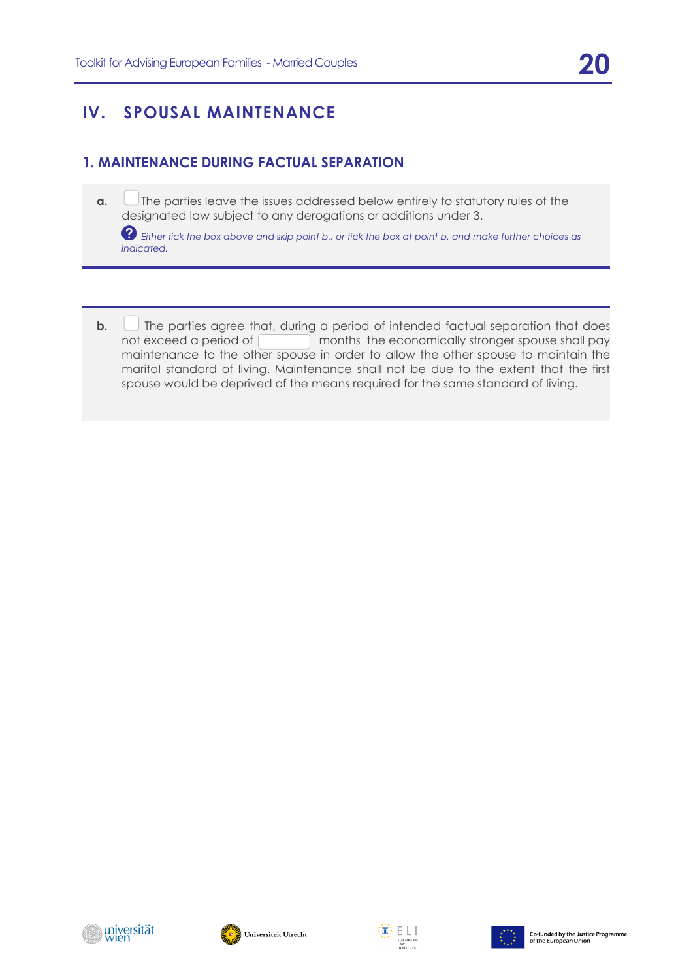## **IV. SPOUSAL MAINTENANCE**

#### <span id="page-19-1"></span><span id="page-19-0"></span>**1. MAINTENANCE DURING FACTUAL SEPARATION**

**a.** The parties leave the issues addressed below entirely to statutory rules of the designated law subject to any derogations or additions under 3.

 *Either tick the box above and skip point b., or tick the box at point b. and make further choices as indicated.*

<span id="page-19-5"></span><span id="page-19-4"></span><span id="page-19-3"></span><span id="page-19-2"></span>**b.**  $\Box$  The parties agree that, during a period of intended factual separation that does not exceed a period of months the economically stronger spouse shall pay maintenance to the other spouse in order to allow the other spouse to maintain the marital standard of living. Maintenance shall not be due to the extent that the first spouse would be deprived of the means required for the same standard of living.

<span id="page-19-8"></span><span id="page-19-7"></span><span id="page-19-6"></span>



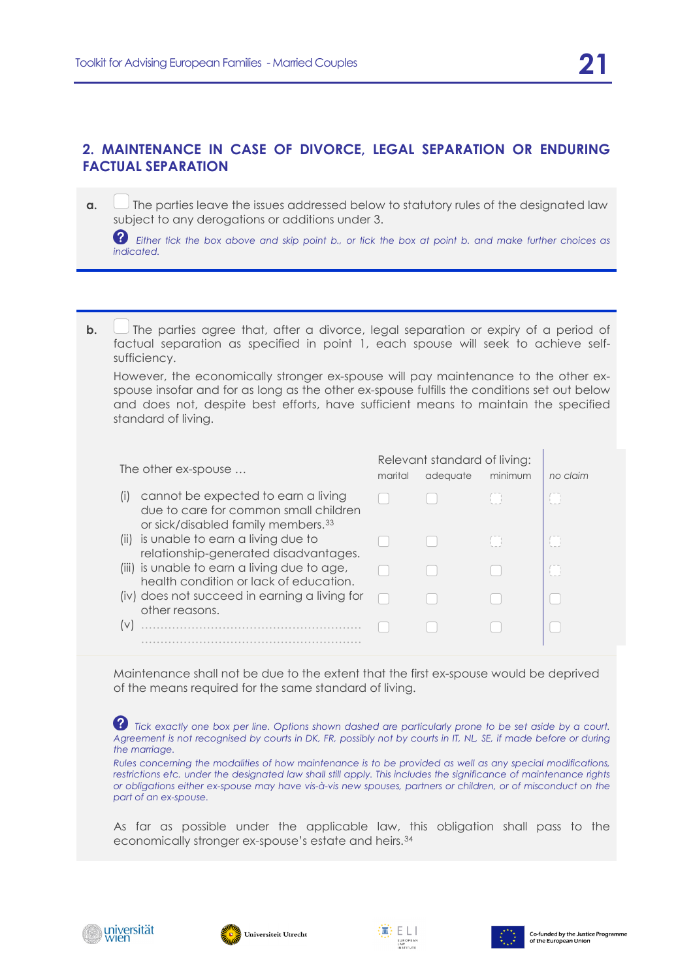<span id="page-20-1"></span><span id="page-20-0"></span>**a.**  $\Box$  The parties leave the issues addressed below to statutory rules of the designated law subject to any derogations or additions under 3.

 *Either tick the box above and skip point b., or tick the box at point b. and make further choices as indicated.*

**b.** The parties agree that, after a divorce, legal separation or expiry of a period of factual separation as specified in point 1, each spouse will seek to achieve selfsufficiency.

However, the economically stronger ex-spouse will pay maintenance to the other exspouse insofar and for as long as the other ex-spouse fulfills the conditions set out below and does not, despite best efforts, have sufficient means to maintain the specified standard of living.

<span id="page-20-3"></span><span id="page-20-2"></span>

| The other ex-spouse                                                                                                                                | marital | Relevant standard of living:<br>adequate | minimum              | no claim |
|----------------------------------------------------------------------------------------------------------------------------------------------------|---------|------------------------------------------|----------------------|----------|
| cannot be expected to earn a living<br>$\left(1\right)$<br>due to care for common small children<br>or sick/disabled family members. <sup>33</sup> |         |                                          | <b>International</b> |          |
| (ii) is unable to earn a living due to<br>relationship-generated disadvantages.                                                                    |         |                                          |                      |          |
| (iii) is unable to earn a living due to age,<br>health condition or lack of education.                                                             |         |                                          |                      |          |
| (iv) does not succeed in earning a living for<br>other reasons.                                                                                    |         |                                          |                      |          |
|                                                                                                                                                    |         |                                          |                      |          |
|                                                                                                                                                    |         |                                          |                      |          |

<span id="page-20-4"></span>Maintenance shall not be due to the extent that the first ex-spouse would be deprived of the means required for the same standard of living.

<span id="page-20-5"></span>*a Tick exactly one box per line. Options shown dashed are particularly prone to be set aside by a court.* Agreement is not recognised by courts in DK, FR, possibly not by courts in IT, NL, SE, if made before or during *the marriage.*

*Rules concerning the modalities of how maintenance is to be provided as well as any special modifications, restrictions etc. under the designated law shall still apply. This includes the significance of maintenance rights or obligations either ex-spouse may have vis-à-vis new spouses, partners or children, or of misconduct on the part of an ex-spouse.*

As far as possible under the applicable law, this obligation shall pass to the economically stronger ex-spouse's estate and heirs.[34](#page-23-6)







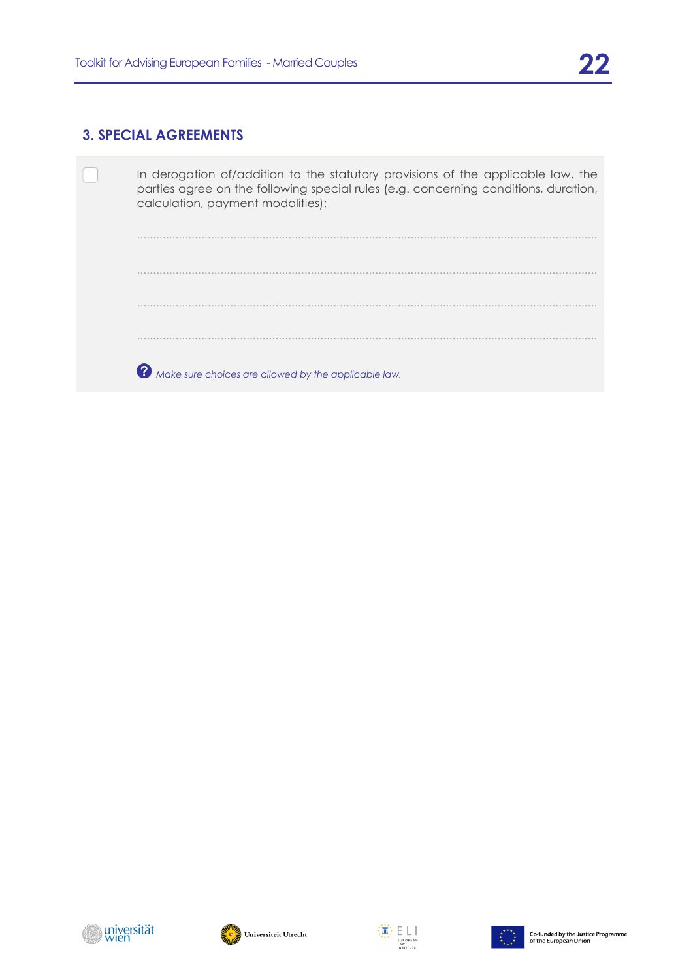#### **3. SPECIAL AGREEMENTS**

<span id="page-21-2"></span><span id="page-21-1"></span><span id="page-21-0"></span>

| In derogation of/addition to the statutory provisions of the applicable law, the<br>parties agree on the following special rules (e.g. concerning conditions, duration,<br>calculation, payment modalities): |
|--------------------------------------------------------------------------------------------------------------------------------------------------------------------------------------------------------------|
|                                                                                                                                                                                                              |
|                                                                                                                                                                                                              |
|                                                                                                                                                                                                              |
|                                                                                                                                                                                                              |
| Make sure choices are allowed by the applicable law.                                                                                                                                                         |

<span id="page-21-3"></span>





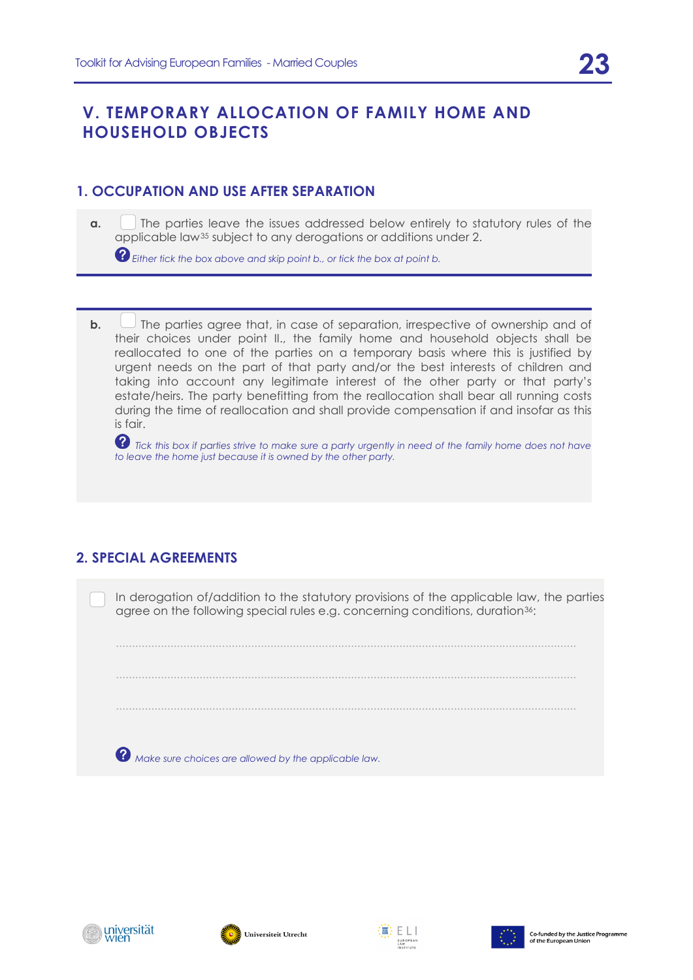## <span id="page-22-0"></span>**V. TEMPORARY ALLOCATION OF FAMILY HOME AND HOUSEHOLD OBJECTS**

#### **1. OCCUPATION AND USE AFTER SEPARATION**

<span id="page-22-1"></span>**a.** The parties leave the issues addressed below entirely to statutory rules of the applicable law[35](#page-23-7) subject to any derogations or additions under 2.

*Either tick the box above and skip point b., or tick the box at point b.*

**b.**  $\Box$  The parties agree that, in case of separation, irrespective of ownership and of their choices under point II., the family home and household objects shall be reallocated to one of the parties on a temporary basis where this is justified by urgent needs on the part of that party and/or the best interests of children and taking into account any legitimate interest of the other party or that party's estate/heirs. The party benefitting from the reallocation shall bear all running costs during the time of reallocation and shall provide compensation if and insofar as this is fair.

<span id="page-22-2"></span>**?** Tick this box if parties strive to make sure a party urgently in need of the family home does not have *to leave the home just because it is owned by the other party.*

### <span id="page-22-4"></span><span id="page-22-3"></span>**2. SPECIAL AGREEMENTS**

In derogation of/addition to the statutory provisions of the applicable law, the parties agree on the following special rules e.g. concerning conditions, duration<sup>36</sup>:

...............................................................................................................................................

...............................................................................................................................................

<span id="page-22-5"></span>...............................................................................................................................................

<span id="page-22-6"></span> *Make sure choices are allowed by the applicable law.*

<span id="page-22-7"></span>





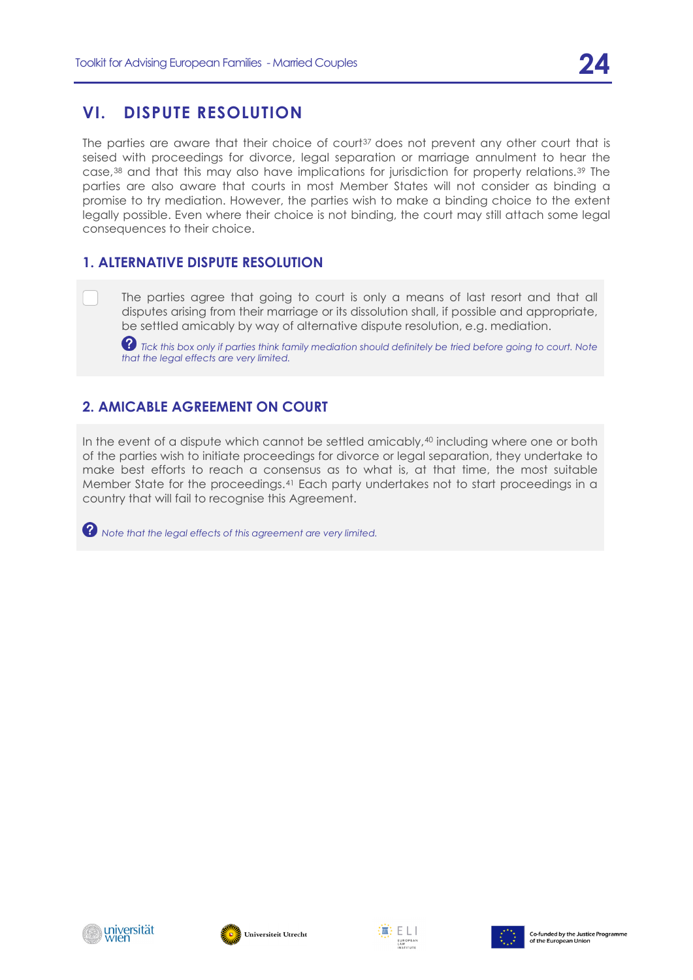<span id="page-23-9"></span><span id="page-23-0"></span>The parties are aware that their choice of court<sup>[37](#page-24-0)</sup> does not prevent any other court that is seised with proceedings for divorce, legal separation or marriage annulment to hear the case,[38](#page-24-1) and that this may also have implications for jurisdiction for property relations.[39](#page-24-2) The parties are also aware that courts in most Member States will not consider as binding a promise to try mediation. However, the parties wish to make a binding choice to the extent legally possible. Even where their choice is not binding, the court may still attach some legal consequences to their choice.

#### <span id="page-23-1"></span>**1. ALTERNATIVE DISPUTE RESOLUTION**

<span id="page-23-10"></span>The parties agree that going to court is only a means of last resort and that all disputes arising from their marriage or its dissolution shall, if possible and appropriate, be settled amicably by way of alternative dispute resolution, e.g. mediation.

 $\bullet$  Tick this box only if parties think family mediation should definitely be tried before going to court. Note *that the legal effects are very limited.*

## <span id="page-23-2"></span>**2. AMICABLE AGREEMENT ON COURT**

<span id="page-23-3"></span>In the event of a dispute which cannot be settled amicably,<sup>[40](#page-25-0)</sup> including where one or both of the parties wish to initiate proceedings for divorce or legal separation, they undertake to make best efforts to reach a consensus as to what is, at that time, the most suitable Member State for the proceedings.[41](#page-25-1) Each party undertakes not to start proceedings in a country that will fail to recognise this Agreement.

<span id="page-23-6"></span><span id="page-23-5"></span><span id="page-23-4"></span>*Note that the legal effects of this agreement are very limited.*

<span id="page-23-8"></span><span id="page-23-7"></span>





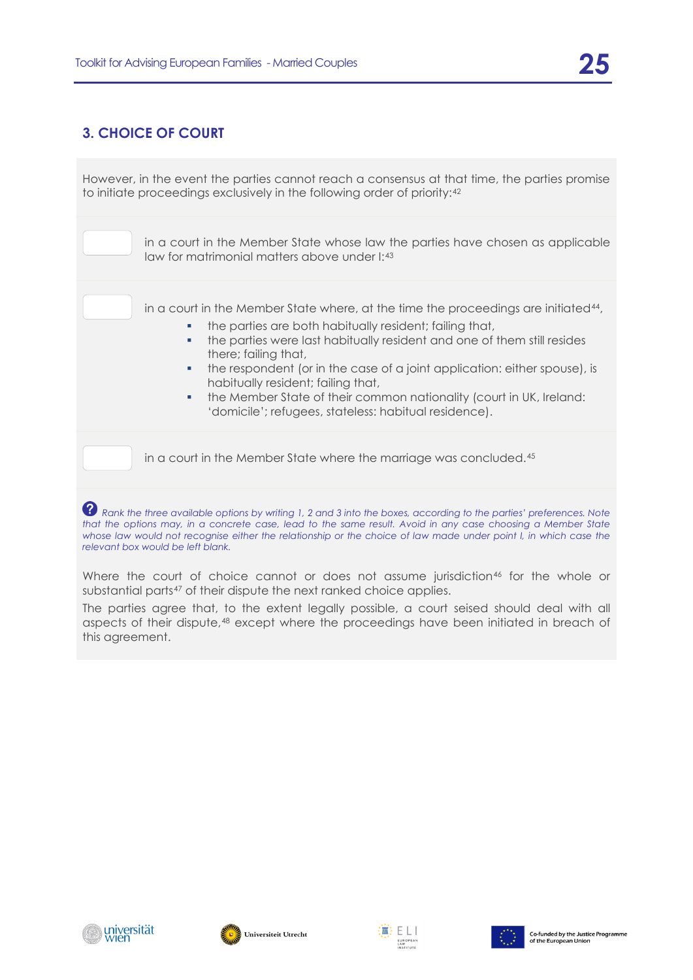### <span id="page-24-0"></span>**3. CHOICE OF COURT**

<span id="page-24-1"></span>However, in the event the parties cannot reach a consensus at that time, the parties promise to initiate proceedings exclusively in the following order of priority:[42](#page-25-2)

> in a court in the Member State whose law the parties have chosen as applicable law for matrimonial matters above under I:[43](#page-25-3)

in a court in the Member State where, at the time the proceedings are initiated[44](#page-25-4),

- the parties are both habitually resident; failing that,
- the parties were last habitually resident and one of them still resides there; failing that,
- the respondent (or in the case of a joint application: either spouse), is habitually resident; failing that,
- the Member State of their common nationality (court in UK, Ireland: 'domicile'; refugees, stateless: habitual residence).

in a court in the Member State where the marriage was concluded.[45](#page-25-5)

*P* Rank the three available options by writing 1, 2 and 3 into the boxes, according to the parties' preferences. Note *that the options may, in a concrete case, lead to the same result. Avoid in any case choosing a Member State whose law would not recognise either the relationship or the choice of law made under point I, in which case the relevant box would be left blank.* 

Where the court of choice cannot or does not assume jurisdiction<sup>[46](#page-25-6)</sup> for the whole or substantial parts<sup>[47](#page-25-7)</sup> of their dispute the next ranked choice applies.

The parties agree that, to the extent legally possible, a court seised should deal with all aspects of their dispute,[48](#page-25-8) except where the proceedings have been initiated in breach of this agreement.

<span id="page-24-2"></span>





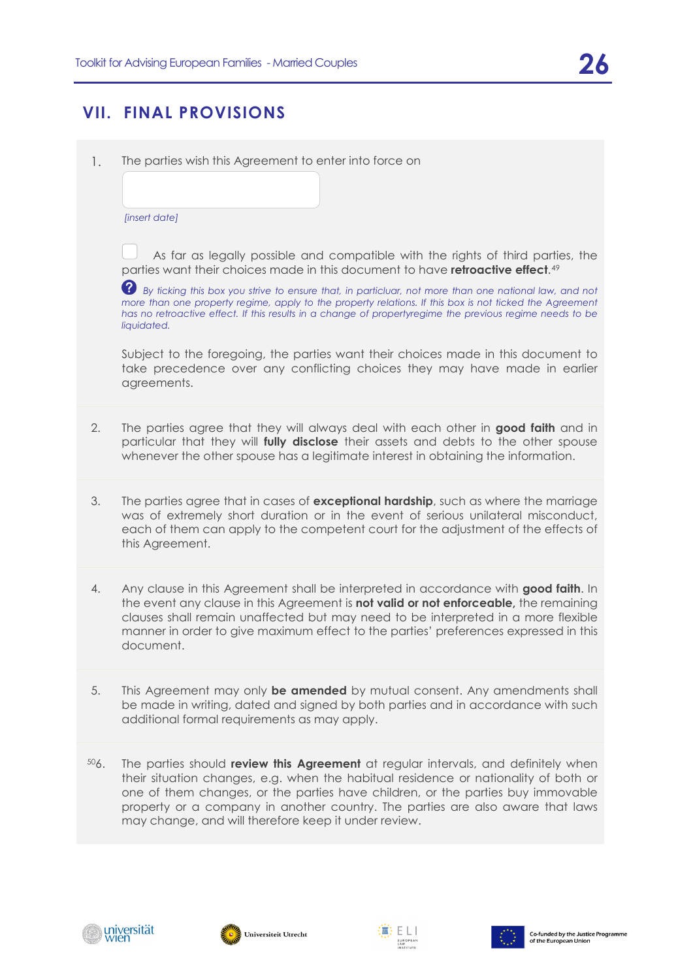## **VII. FINAL PROVISIONS**

<span id="page-25-1"></span><span id="page-25-0"></span>1. The parties wish this Agreement to enter into force on

*[insert date]*

 As far as legally possible and compatible with the rights of third parties, the parties want their choices made in this document to have **retroactive effect**.[49](#page-25-9)

*By ticking this box you strive to ensure that, in particluar, not more than one national law, and not more than one property regime, apply to the property relations. If this box is not ticked the Agreement has no retroactive effect. If this results in a change of propertyregime the previous regime needs to be liquidated.*

<span id="page-25-2"></span>Subject to the foregoing, the parties want their choices made in this document to take precedence over any conflicting choices they may have made in earlier agreements.

- <span id="page-25-4"></span><span id="page-25-3"></span>2. The parties agree that they will always deal with each other in **good faith** and in particular that they will **fully disclose** their assets and debts to the other spouse whenever the other spouse has a legitimate interest in obtaining the information.
- <span id="page-25-6"></span><span id="page-25-5"></span>3. The parties agree that in cases of **exceptional hardship**, such as where the marriage was of extremely short duration or in the event of serious unilateral misconduct, each of them can apply to the competent court for the adjustment of the effects of this Agreement.
- 4. Any clause in this Agreement shall be interpreted in accordance with **good faith**. In the event any clause in this Agreement is **not valid or not enforceable,** the remaining clauses shall remain unaffected but may need to be interpreted in a more flexible manner in order to give maximum effect to the parties' preferences expressed in this document.
- <span id="page-25-8"></span><span id="page-25-7"></span>5. This Agreement may only **be amended** by mutual consent. Any amendments shall be made in writing, dated and signed by both parties and in accordance with such additional formal requirements as may apply.
- <span id="page-25-9"></span>[50](#page-26-0)6. The parties should **review this Agreement** at regular intervals, and definitely when their situation changes, e.g. when the habitual residence or nationality of both or one of them changes, or the parties have children, or the parties buy immovable property or a company in another country. The parties are also aware that laws may change, and will therefore keep it under review.







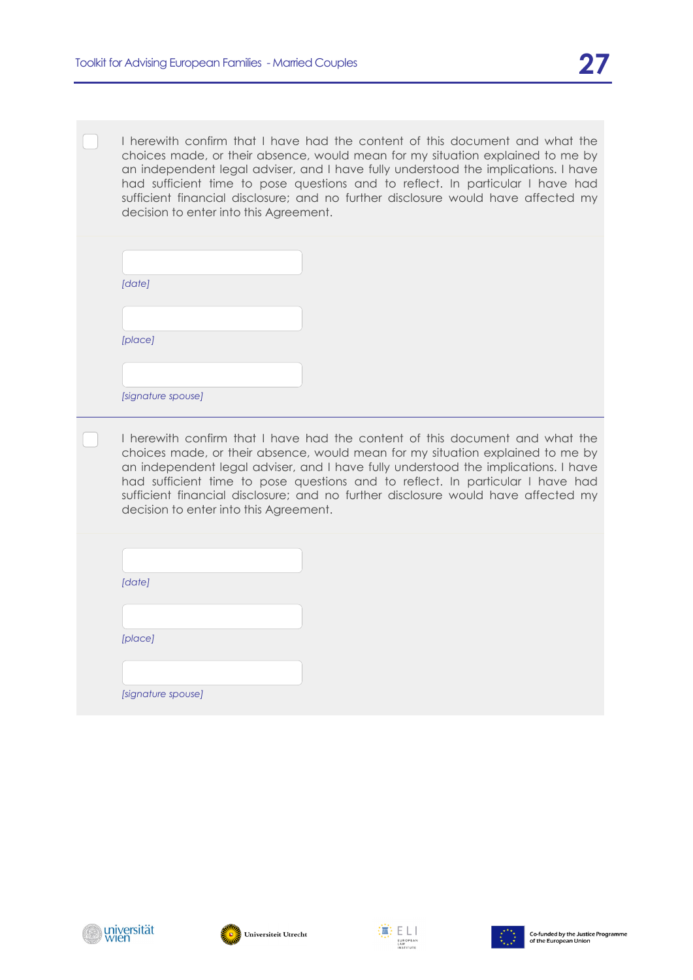I herewith confirm that I have had the content of this document and what the choices made, or their absence, would mean for my situation explained to me by an independent legal adviser, and I have fully understood the implications. I have had sufficient time to pose questions and to reflect. In particular I have had sufficient financial disclosure; and no further disclosure would have affected my decision to enter into this Agreement.

<span id="page-26-0"></span>

| [date]             |  |
|--------------------|--|
|                    |  |
| [place]            |  |
|                    |  |
| [signature spouse] |  |

I herewith confirm that I have had the content of this document and what the choices made, or their absence, would mean for my situation explained to me by an independent legal adviser, and I have fully understood the implications. I have had sufficient time to pose questions and to reflect. In particular I have had sufficient financial disclosure; and no further disclosure would have affected my decision to enter into this Agreement.

| [date]  |  |  |
|---------|--|--|
|         |  |  |
| [place] |  |  |

*[signature spouse]*







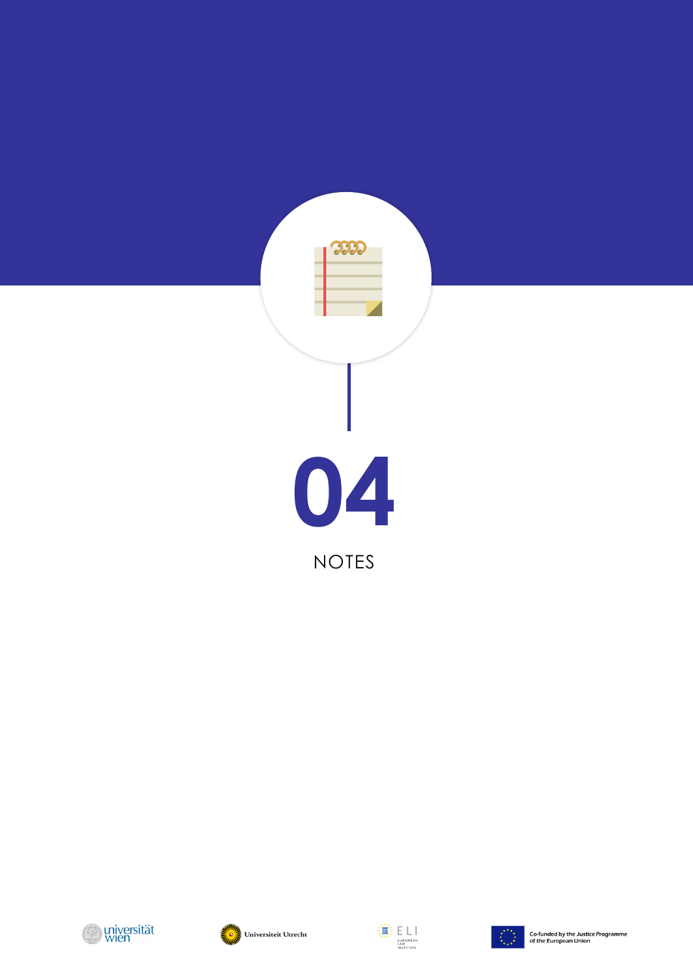







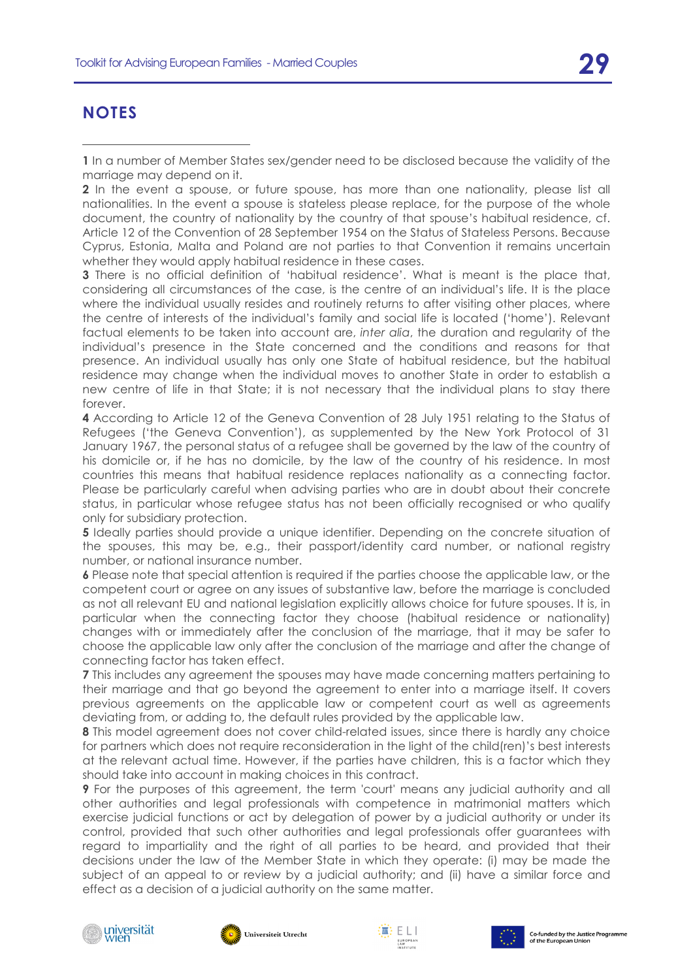## **NOTES**

-

**1** In a number of Member States sex/gender need to be disclosed because the validity of the marriage may depend on it.

**2** In the event a spouse, or future spouse, has more than one nationality, please list all nationalities. In the event a spouse is stateless please replace, for the purpose of the whole document, the country of nationality by the country of that spouse's habitual residence, cf. Article 12 of the Convention of 28 September 1954 on the Status of Stateless Persons. Because Cyprus, Estonia, Malta and Poland are not parties to that Convention it remains uncertain whether they would apply habitual residence in these cases.

**3** There is no official definition of 'habitual residence'. What is meant is the place that, considering all circumstances of the case, is the centre of an individual's life. It is the place where the individual usually resides and routinely returns to after visiting other places, where the centre of interests of the individual's family and social life is located ('home'). Relevant factual elements to be taken into account are, *inter alia*, the duration and regularity of the individual's presence in the State concerned and the conditions and reasons for that presence. An individual usually has only one State of habitual residence, but the habitual residence may change when the individual moves to another State in order to establish a new centre of life in that State; it is not necessary that the individual plans to stay there forever.

**4** According to Article 12 of the Geneva Convention of 28 July 1951 relating to the Status of Refugees ('the Geneva Convention'), as supplemented by the New York Protocol of 31 January 1967, the personal status of a refugee shall be governed by the law of the country of his domicile or, if he has no domicile, by the law of the country of his residence. In most countries this means that habitual residence replaces nationality as a connecting factor. Please be particularly careful when advising parties who are in doubt about their concrete status, in particular whose refugee status has not been officially recognised or who qualify only for subsidiary protection.

**5** Ideally parties should provide a unique identifier. Depending on the concrete situation of the spouses, this may be, e.g., their passport/identity card number, or national registry number, or national insurance number.

**6** Please note that special attention is required if the parties choose the applicable law, or the competent court or agree on any issues of substantive law, before the marriage is concluded as not all relevant EU and national legislation explicitly allows choice for future spouses. It is, in particular when the connecting factor they choose (habitual residence or nationality) changes with or immediately after the conclusion of the marriage, that it may be safer to choose the applicable law only after the conclusion of the marriage and after the change of connecting factor has taken effect.

**7** This includes any agreement the spouses may have made concerning matters pertaining to their marriage and that go beyond the agreement to enter into a marriage itself. It covers previous agreements on the applicable law or competent court as well as agreements deviating from, or adding to, the default rules provided by the applicable law.

**8** This model agreement does not cover child-related issues, since there is hardly any choice for partners which does not require reconsideration in the light of the child(ren)'s best interests at the relevant actual time. However, if the parties have children, this is a factor which they should take into account in making choices in this contract.

**9** For the purposes of this agreement, the term 'court' means any judicial authority and all other authorities and legal professionals with competence in matrimonial matters which exercise judicial functions or act by delegation of power by a judicial authority or under its control, provided that such other authorities and legal professionals offer guarantees with regard to impartiality and the right of all parties to be heard, and provided that their decisions under the law of the Member State in which they operate: (i) may be made the subject of an appeal to or review by a judicial authority; and (ii) have a similar force and effect as a decision of a judicial authority on the same matter.







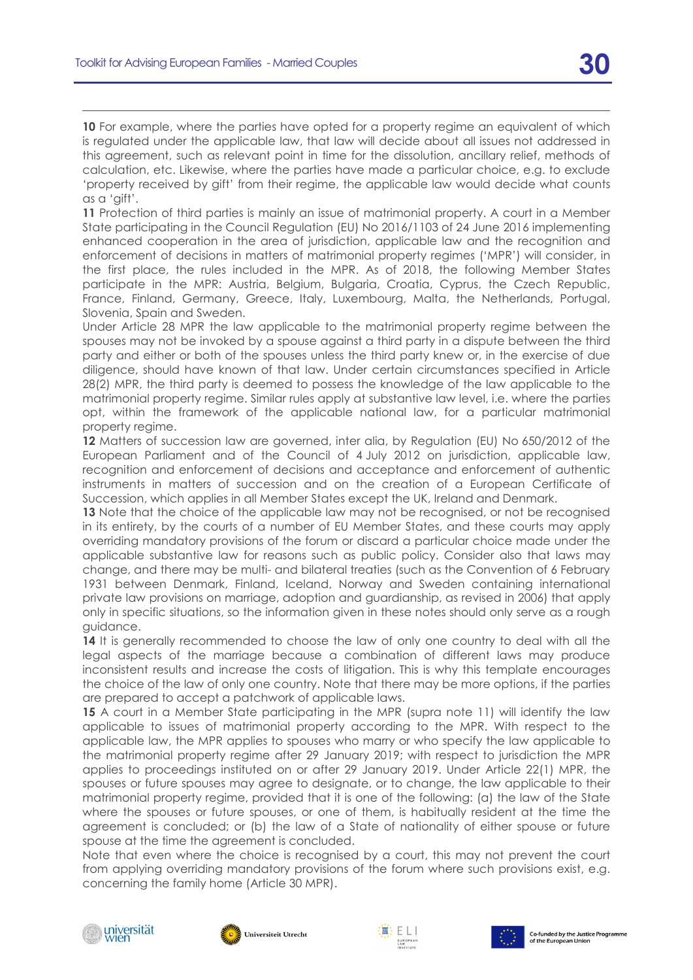**10** For example, where the parties have opted for a property regime an equivalent of which is regulated under the applicable law, that law will decide about all issues not addressed in this agreement, such as relevant point in time for the dissolution, ancillary relief, methods of calculation, etc. Likewise, where the parties have made a particular choice, e.g. to exclude 'property received by gift' from their regime, the applicable law would decide what counts as a 'gift'.

**11** Protection of third parties is mainly an issue of matrimonial property. A court in a Member State participating in the Council Regulation (EU) No 2016/1103 of 24 June 2016 implementing enhanced cooperation in the area of jurisdiction, applicable law and the recognition and enforcement of decisions in matters of matrimonial property regimes ('MPR') will consider, in the first place, the rules included in the MPR. As of 2018, the following Member States participate in the MPR: Austria, Belgium, Bulgaria, Croatia, Cyprus, the Czech Republic, France, Finland, Germany, Greece, Italy, Luxembourg, Malta, the Netherlands, Portugal, Slovenia, Spain and Sweden.

Under Article 28 MPR the law applicable to the matrimonial property regime between the spouses may not be invoked by a spouse against a third party in a dispute between the third party and either or both of the spouses unless the third party knew or, in the exercise of due diligence, should have known of that law. Under certain circumstances specified in Article 28(2) MPR, the third party is deemed to possess the knowledge of the law applicable to the matrimonial property regime. Similar rules apply at substantive law level, i.e. where the parties opt, within the framework of the applicable national law, for a particular matrimonial property regime.

**12** Matters of succession law are governed, inter alia, by Regulation (EU) No 650/2012 of the European Parliament and of the Council of 4 July 2012 on jurisdiction, applicable law, recognition and enforcement of decisions and acceptance and enforcement of authentic instruments in matters of succession and on the creation of a European Certificate of Succession, which applies in all Member States except the UK, Ireland and Denmark.

**13** Note that the choice of the applicable law may not be recognised, or not be recognised in its entirety, by the courts of a number of EU Member States, and these courts may apply overriding mandatory provisions of the forum or discard a particular choice made under the applicable substantive law for reasons such as public policy. Consider also that laws may change, and there may be multi- and bilateral treaties (such as the Convention of 6 February 1931 between Denmark, Finland, Iceland, Norway and Sweden containing international private law provisions on marriage, adoption and guardianship, as revised in 2006) that apply only in specific situations, so the information given in these notes should only serve as a rough guidance.

**14** It is generally recommended to choose the law of only one country to deal with all the legal aspects of the marriage because a combination of different laws may produce inconsistent results and increase the costs of litigation. This is why this template encourages the choice of the law of only one country. Note that there may be more options, if the parties are prepared to accept a patchwork of applicable laws.

15 A court in a Member State participating in the MPR (supra note [11\)](#page-11-0) will identify the law applicable to issues of matrimonial property according to the MPR. With respect to the applicable law, the MPR applies to spouses who marry or who specify the law applicable to the matrimonial property regime after 29 January 2019; with respect to jurisdiction the MPR applies to proceedings instituted on or after 29 January 2019. Under Article 22(1) MPR, the spouses or future spouses may agree to designate, or to change, the law applicable to their matrimonial property regime, provided that it is one of the following: (a) the law of the State where the spouses or future spouses, or one of them, is habitually resident at the time the agreement is concluded; or (b) the law of a State of nationality of either spouse or future spouse at the time the agreement is concluded.

Note that even where the choice is recognised by a court, this may not prevent the court from applying overriding mandatory provisions of the forum where such provisions exist, e.g. concerning the family home (Article 30 MPR).







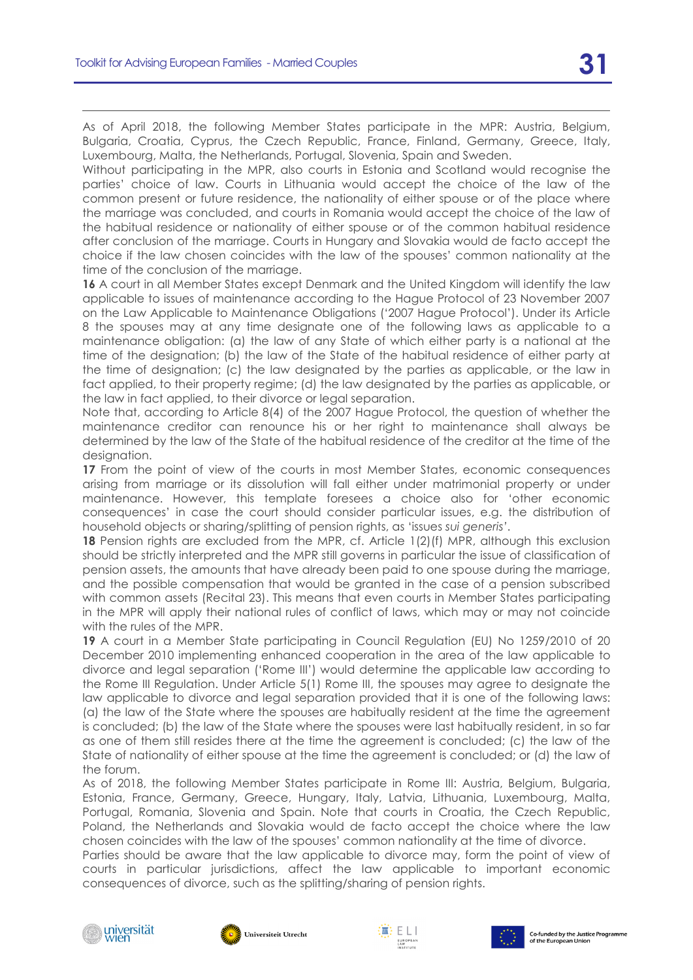As of April 2018, the following Member States participate in the MPR: Austria, Belgium, Bulgaria, Croatia, Cyprus, the Czech Republic, France, Finland, Germany, Greece, Italy, Luxembourg, Malta, the Netherlands, Portugal, Slovenia, Spain and Sweden.

Without participating in the MPR, also courts in Estonia and Scotland would recognise the parties' choice of law. Courts in Lithuania would accept the choice of the law of the common present or future residence, the nationality of either spouse or of the place where the marriage was concluded, and courts in Romania would accept the choice of the law of the habitual residence or nationality of either spouse or of the common habitual residence after conclusion of the marriage. Courts in Hungary and Slovakia would de facto accept the choice if the law chosen coincides with the law of the spouses' common nationality at the time of the conclusion of the marriage.

**16** A court in all Member States except Denmark and the United Kingdom will identify the law applicable to issues of maintenance according to the Hague Protocol of 23 November 2007 on the Law Applicable to Maintenance Obligations ('2007 Hague Protocol'). Under its Article 8 the spouses may at any time designate one of the following laws as applicable to a maintenance obligation: (a) the law of any State of which either party is a national at the time of the designation; (b) the law of the State of the habitual residence of either party at the time of designation; (c) the law designated by the parties as applicable, or the law in fact applied, to their property regime; (d) the law designated by the parties as applicable, or the law in fact applied, to their divorce or legal separation.

Note that, according to Article 8(4) of the 2007 Hague Protocol, the question of whether the maintenance creditor can renounce his or her right to maintenance shall always be determined by the law of the State of the habitual residence of the creditor at the time of the designation.

**17** From the point of view of the courts in most Member States, economic consequences arising from marriage or its dissolution will fall either under matrimonial property or under maintenance. However, this template foresees a choice also for 'other economic consequences' in case the court should consider particular issues, e.g. the distribution of household objects or sharing/splitting of pension rights, as 'issues *sui generis'*.

**18** Pension rights are excluded from the MPR, cf. Article 1(2)(f) MPR, although this exclusion should be strictly interpreted and the MPR still governs in particular the issue of classification of pension assets, the amounts that have already been paid to one spouse during the marriage, and the possible compensation that would be granted in the case of a pension subscribed with common assets (Recital 23). This means that even courts in Member States participating in the MPR will apply their national rules of conflict of laws, which may or may not coincide with the rules of the MPR.

**19** A court in a Member State participating in Council Regulation (EU) No 1259/2010 of 20 December 2010 implementing enhanced cooperation in the area of the law applicable to divorce and legal separation ('Rome III') would determine the applicable law according to the Rome III Regulation. Under Article 5(1) Rome III, the spouses may agree to designate the law applicable to divorce and legal separation provided that it is one of the following laws: (a) the law of the State where the spouses are habitually resident at the time the agreement is concluded; (b) the law of the State where the spouses were last habitually resident, in so far as one of them still resides there at the time the agreement is concluded; (c) the law of the State of nationality of either spouse at the time the agreement is concluded; or (d) the law of the forum.

As of 2018, the following Member States participate in Rome III: Austria, Belgium, Bulgaria, Estonia, France, Germany, Greece, Hungary, Italy, Latvia, Lithuania, Luxembourg, Malta, Portugal, Romania, Slovenia and Spain. Note that courts in Croatia, the Czech Republic, Poland, the Netherlands and Slovakia would de facto accept the choice where the law chosen coincides with the law of the spouses' common nationality at the time of divorce.

Parties should be aware that the law applicable to divorce may, form the point of view of courts in particular jurisdictions, affect the law applicable to important economic consequences of divorce, such as the splitting/sharing of pension rights.







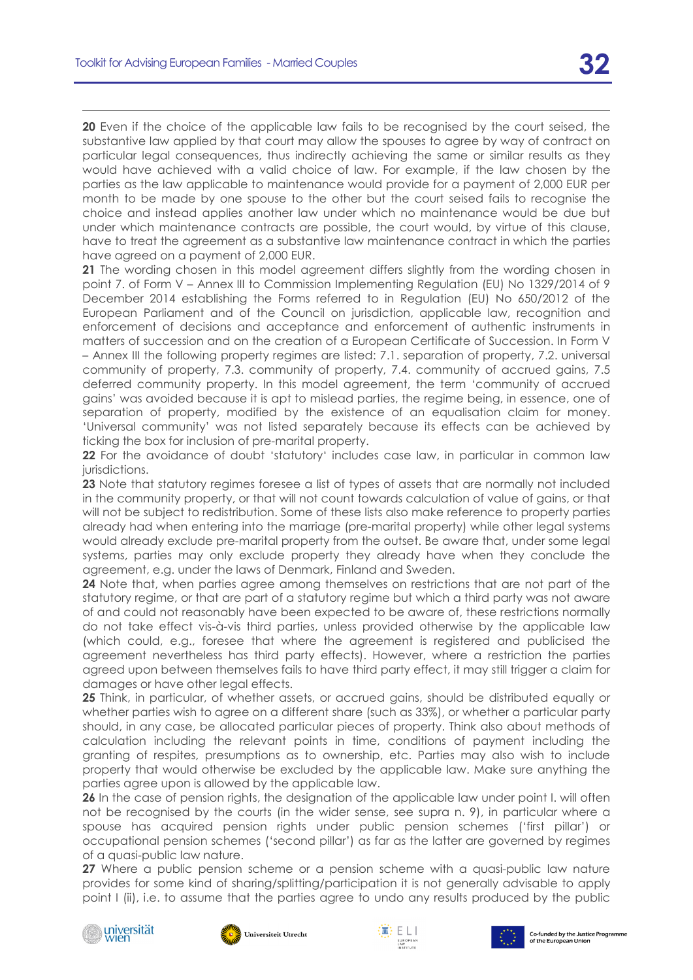**20** Even if the choice of the applicable law fails to be recognised by the court seised, the substantive law applied by that court may allow the spouses to agree by way of contract on particular legal consequences, thus indirectly achieving the same or similar results as they would have achieved with a valid choice of law. For example, if the law chosen by the parties as the law applicable to maintenance would provide for a payment of 2,000 EUR per month to be made by one spouse to the other but the court seised fails to recognise the choice and instead applies another law under which no maintenance would be due but under which maintenance contracts are possible, the court would, by virtue of this clause, have to treat the agreement as a substantive law maintenance contract in which the parties have agreed on a payment of 2,000 EUR.

**21** The wording chosen in this model agreement differs slightly from the wording chosen in point 7. of Form V – Annex III to Commission Implementing Regulation (EU) No 1329/2014 of 9 December 2014 establishing the Forms referred to in Regulation (EU) No 650/2012 of the European Parliament and of the Council on jurisdiction, applicable law, recognition and enforcement of decisions and acceptance and enforcement of authentic instruments in matters of succession and on the creation of a European Certificate of Succession. In Form V – Annex III the following property regimes are listed: 7.1. separation of property, 7.2. universal community of property, 7.3. community of property, 7.4. community of accrued gains, 7.5 deferred community property. In this model agreement, the term 'community of accrued gains' was avoided because it is apt to mislead parties, the regime being, in essence, one of separation of property, modified by the existence of an equalisation claim for money. 'Universal community' was not listed separately because its effects can be achieved by ticking the box for inclusion of pre-marital property.

**22** For the avoidance of doubt 'statutory' includes case law, in particular in common law jurisdictions.

**23** Note that statutory regimes foresee a list of types of assets that are normally not included in the community property, or that will not count towards calculation of value of gains, or that will not be subject to redistribution. Some of these lists also make reference to property parties already had when entering into the marriage (pre-marital property) while other legal systems would already exclude pre-marital property from the outset. Be aware that, under some legal systems, parties may only exclude property they already have when they conclude the agreement, e.g. under the laws of Denmark, Finland and Sweden.

**24** Note that, when parties agree among themselves on restrictions that are not part of the statutory regime, or that are part of a statutory regime but which a third party was not aware of and could not reasonably have been expected to be aware of, these restrictions normally do not take effect vis-à-vis third parties, unless provided otherwise by the applicable law (which could, e.g., foresee that where the agreement is registered and publicised the agreement nevertheless has third party effects). However, where a restriction the parties agreed upon between themselves fails to have third party effect, it may still trigger a claim for damages or have other legal effects.

**25** Think, in particular, of whether assets, or accrued gains, should be distributed equally or whether parties wish to agree on a different share (such as 33%), or whether a particular party should, in any case, be allocated particular pieces of property. Think also about methods of calculation including the relevant points in time, conditions of payment including the granting of respites, presumptions as to ownership, etc. Parties may also wish to include property that would otherwise be excluded by the applicable law. Make sure anything the parties agree upon is allowed by the applicable law.

**26** In the case of pension rights, the designation of the applicable law under point I. will often not be recognised by the courts (in the wider sense, see supra n. [9\)](#page-11-1), in particular where a spouse has acquired pension rights under public pension schemes ('first pillar') or occupational pension schemes ('second pillar') as far as the latter are governed by regimes of a quasi-public law nature.

**27** Where a public pension scheme or a pension scheme with a quasi-public law nature provides for some kind of sharing/splitting/participation it is not generally advisable to apply point I (ii), i.e. to assume that the parties agree to undo any results produced by the public







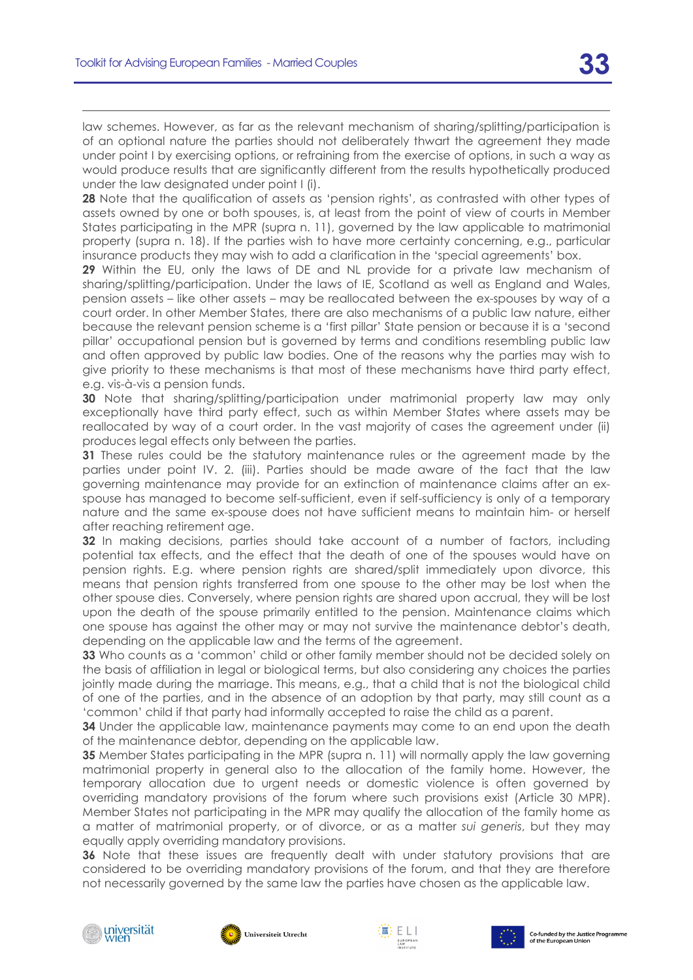law schemes. However, as far as the relevant mechanism of sharing/splitting/participation is of an optional nature the parties should not deliberately thwart the agreement they made under point I by exercising options, or refraining from the exercise of options, in such a way as would produce results that are significantly different from the results hypothetically produced under the law designated under point I (i).

**28** Note that the qualification of assets as 'pension rights', as contrasted with other types of assets owned by one or both spouses, is, at least from the point of view of courts in Member States participating in the MPR (supra n. [11\)](#page-11-0), governed by the law applicable to matrimonial property (supra n. [18\)](#page-12-0). If the parties wish to have more certainty concerning, e.g., particular insurance products they may wish to add a clarification in the 'special agreements' box.

**29** Within the EU, only the laws of DE and NL provide for a private law mechanism of sharing/splitting/participation. Under the laws of IE, Scotland as well as England and Wales, pension assets – like other assets – may be reallocated between the ex-spouses by way of a court order. In other Member States, there are also mechanisms of a public law nature, either because the relevant pension scheme is a 'first pillar' State pension or because it is a 'second pillar' occupational pension but is governed by terms and conditions resembling public law and often approved by public law bodies. One of the reasons why the parties may wish to give priority to these mechanisms is that most of these mechanisms have third party effect, e.g. vis-à-vis a pension funds.

**30** Note that sharing/splitting/participation under matrimonial property law may only exceptionally have third party effect, such as within Member States where assets may be reallocated by way of a court order. In the vast majority of cases the agreement under (ii) produces legal effects only between the parties.

**31** These rules could be the statutory maintenance rules or the agreement made by the parties under point IV. 2. (iii). Parties should be made aware of the fact that the law governing maintenance may provide for an extinction of maintenance claims after an exspouse has managed to become self-sufficient, even if self-sufficiency is only of a temporary nature and the same ex-spouse does not have sufficient means to maintain him- or herself after reaching retirement age.

**32** In making decisions, parties should take account of a number of factors, including potential tax effects, and the effect that the death of one of the spouses would have on pension rights. E.g. where pension rights are shared/split immediately upon divorce, this means that pension rights transferred from one spouse to the other may be lost when the other spouse dies. Conversely, where pension rights are shared upon accrual, they will be lost upon the death of the spouse primarily entitled to the pension. Maintenance claims which one spouse has against the other may or may not survive the maintenance debtor's death, depending on the applicable law and the terms of the agreement.

**33** Who counts as a 'common' child or other family member should not be decided solely on the basis of affiliation in legal or biological terms, but also considering any choices the parties jointly made during the marriage. This means, e.g., that a child that is not the biological child of one of the parties, and in the absence of an adoption by that party, may still count as a 'common' child if that party had informally accepted to raise the child as a parent.

**34** Under the applicable law, maintenance payments may come to an end upon the death of the maintenance debtor, depending on the applicable law.

**35** Member States participating in the MPR (supra n. [11\)](#page-11-0) will normally apply the law governing matrimonial property in general also to the allocation of the family home. However, the temporary allocation due to urgent needs or domestic violence is often governed by overriding mandatory provisions of the forum where such provisions exist (Article 30 MPR). Member States not participating in the MPR may qualify the allocation of the family home as a matter of matrimonial property, or of divorce, or as a matter *sui generis*, but they may equally apply overriding mandatory provisions.

**36** Note that these issues are frequently dealt with under statutory provisions that are considered to be overriding mandatory provisions of the forum, and that they are therefore not necessarily governed by the same law the parties have chosen as the applicable law.







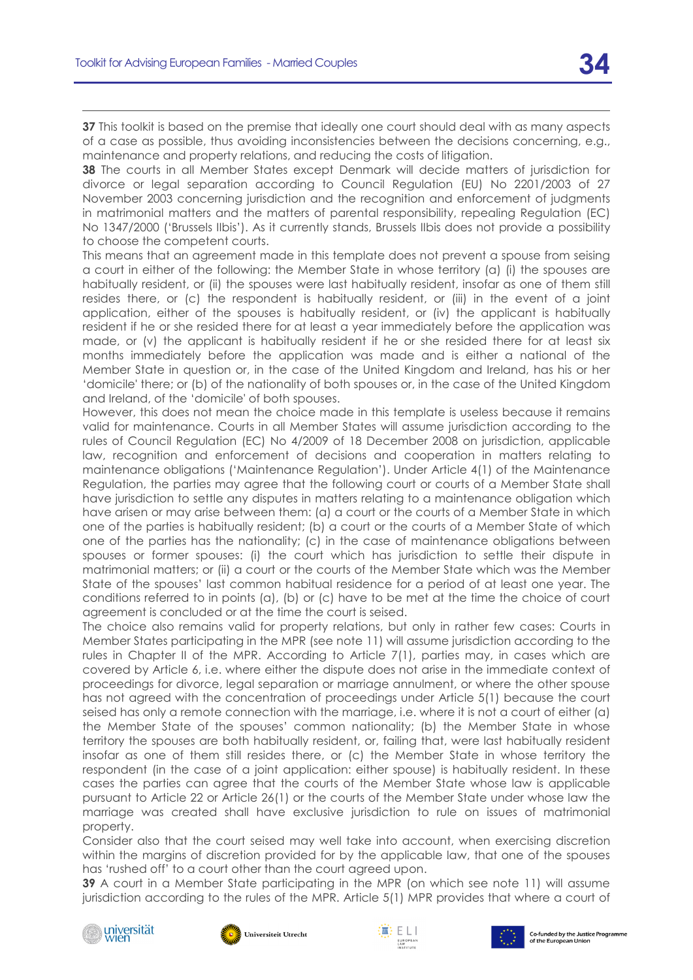**37** This toolkit is based on the premise that ideally one court should deal with as many aspects of a case as possible, thus avoiding inconsistencies between the decisions concerning, e.g., maintenance and property relations, and reducing the costs of litigation.

**38** The courts in all Member States except Denmark will decide matters of jurisdiction for divorce or legal separation according to Council Regulation (EU) No 2201/2003 of 27 November 2003 concerning jurisdiction and the recognition and enforcement of judgments in matrimonial matters and the matters of parental responsibility, repealing Regulation (EC) No 1347/2000 ('Brussels IIbis'). As it currently stands, Brussels IIbis does not provide a possibility to choose the competent courts.

This means that an agreement made in this template does not prevent a spouse from seising a court in either of the following: the Member State in whose territory (a) (i) the spouses are habitually resident, or (ii) the spouses were last habitually resident, insofar as one of them still resides there, or (c) the respondent is habitually resident, or (iii) in the event of a joint application, either of the spouses is habitually resident, or (iv) the applicant is habitually resident if he or she resided there for at least a year immediately before the application was made, or (v) the applicant is habitually resident if he or she resided there for at least six months immediately before the application was made and is either a national of the Member State in question or, in the case of the United Kingdom and Ireland, has his or her 'domicile' there; or (b) of the nationality of both spouses or, in the case of the United Kingdom and Ireland, of the 'domicile' of both spouses.

However, this does not mean the choice made in this template is useless because it remains valid for maintenance. Courts in all Member States will assume jurisdiction according to the rules of Council Regulation (EC) No 4/2009 of 18 December 2008 on jurisdiction, applicable law, recognition and enforcement of decisions and cooperation in matters relating to maintenance obligations ('Maintenance Regulation'). Under Article 4(1) of the Maintenance Regulation, the parties may agree that the following court or courts of a Member State shall have jurisdiction to settle any disputes in matters relating to a maintenance obligation which have arisen or may arise between them: (a) a court or the courts of a Member State in which one of the parties is habitually resident; (b) a court or the courts of a Member State of which one of the parties has the nationality; (c) in the case of maintenance obligations between spouses or former spouses: (i) the court which has jurisdiction to settle their dispute in matrimonial matters; or (ii) a court or the courts of the Member State which was the Member State of the spouses' last common habitual residence for a period of at least one year. The conditions referred to in points (a), (b) or (c) have to be met at the time the choice of court agreement is concluded or at the time the court is seised.

The choice also remains valid for property relations, but only in rather few cases: Courts in Member States participating in the MPR (see note [11\)](#page-11-0) will assume jurisdiction according to the rules in Chapter II of the MPR. According to Article 7(1), parties may, in cases which are covered by Article 6, i.e. where either the dispute does not arise in the immediate context of proceedings for divorce, legal separation or marriage annulment, or where the other spouse has not agreed with the concentration of proceedings under Article 5(1) because the court seised has only a remote connection with the marriage, i.e. where it is not a court of either (a) the Member State of the spouses' common nationality; (b) the Member State in whose territory the spouses are both habitually resident, or, failing that, were last habitually resident insofar as one of them still resides there, or (c) the Member State in whose territory the respondent (in the case of a joint application: either spouse) is habitually resident. In these cases the parties can agree that the courts of the Member State whose law is applicable pursuant to Article 22 or Article 26(1) or the courts of the Member State under whose law the marriage was created shall have exclusive jurisdiction to rule on issues of matrimonial property.

Consider also that the court seised may well take into account, when exercising discretion within the margins of discretion provided for by the applicable law, that one of the spouses has 'rushed off' to a court other than the court agreed upon.

**39** A court in a Member State participating in the MPR (on which see note [11\)](#page-11-0) will assume jurisdiction according to the rules of the MPR. Article 5(1) MPR provides that where a court of









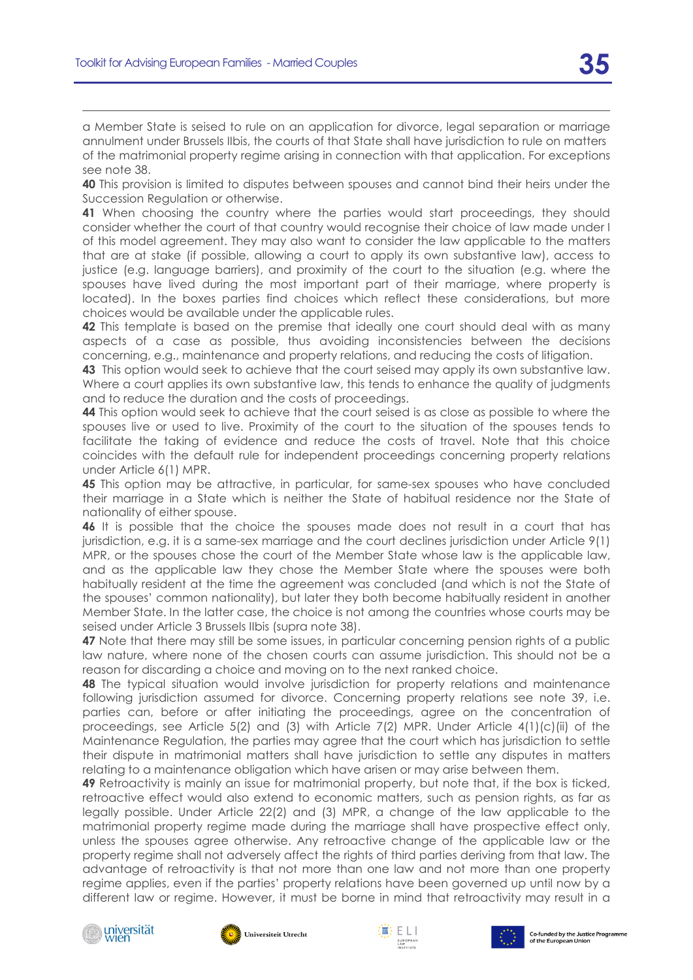a Member State is seised to rule on an application for divorce, legal separation or marriage annulment under Brussels IIbis, the courts of that State shall have jurisdiction to rule on matters of the matrimonial property regime arising in connection with that application. For exceptions see note [38.](#page-23-9)

**40** This provision is limited to disputes between spouses and cannot bind their heirs under the Succession Regulation or otherwise.

**41** When choosing the country where the parties would start proceedings, they should consider whether the court of that country would recognise their choice of law made under I of this model agreement. They may also want to consider the law applicable to the matters that are at stake (if possible, allowing a court to apply its own substantive law), access to justice (e.g. language barriers), and proximity of the court to the situation (e.g. where the spouses have lived during the most important part of their marriage, where property is located). In the boxes parties find choices which reflect these considerations, but more choices would be available under the applicable rules.

**42** This template is based on the premise that ideally one court should deal with as many aspects of a case as possible, thus avoiding inconsistencies between the decisions concerning, e.g., maintenance and property relations, and reducing the costs of litigation.

**43** This option would seek to achieve that the court seised may apply its own substantive law. Where a court applies its own substantive law, this tends to enhance the quality of judgments and to reduce the duration and the costs of proceedings.

**44** This option would seek to achieve that the court seised is as close as possible to where the spouses live or used to live. Proximity of the court to the situation of the spouses tends to facilitate the taking of evidence and reduce the costs of travel. Note that this choice coincides with the default rule for independent proceedings concerning property relations under Article 6(1) MPR.

**45** This option may be attractive, in particular, for same-sex spouses who have concluded their marriage in a State which is neither the State of habitual residence nor the State of nationality of either spouse.

**46** It is possible that the choice the spouses made does not result in a court that has jurisdiction, e.g. it is a same-sex marriage and the court declines jurisdiction under Article 9(1) MPR, or the spouses chose the court of the Member State whose law is the applicable law, and as the applicable law they chose the Member State where the spouses were both habitually resident at the time the agreement was concluded (and which is not the State of the spouses' common nationality), but later they both become habitually resident in another Member State. In the latter case, the choice is not among the countries whose courts may be seised under Article 3 Brussels IIbis (supra note [38\)](#page-23-9).

**47** Note that there may still be some issues, in particular concerning pension rights of a public law nature, where none of the chosen courts can assume jurisdiction. This should not be a reason for discarding a choice and moving on to the next ranked choice.

**48** The typical situation would involve jurisdiction for property relations and maintenance following jurisdiction assumed for divorce. Concerning property relations see note [39,](#page-23-10) i.e. parties can, before or after initiating the proceedings, agree on the concentration of proceedings, see Article 5(2) and (3) with Article 7(2) MPR. Under Article  $4(1)(c)(ii)$  of the Maintenance Regulation, the parties may agree that the court which has jurisdiction to settle their dispute in matrimonial matters shall have jurisdiction to settle any disputes in matters relating to a maintenance obligation which have arisen or may arise between them.

**49** Retroactivity is mainly an issue for matrimonial property, but note that, if the box is ticked, retroactive effect would also extend to economic matters, such as pension rights, as far as legally possible. Under Article 22(2) and (3) MPR, a change of the law applicable to the matrimonial property regime made during the marriage shall have prospective effect only, unless the spouses agree otherwise. Any retroactive change of the applicable law or the property regime shall not adversely affect the rights of third parties deriving from that law. The advantage of retroactivity is that not more than one law and not more than one property regime applies, even if the parties' property relations have been governed up until now by a different law or regime. However, it must be borne in mind that retroactivity may result in a